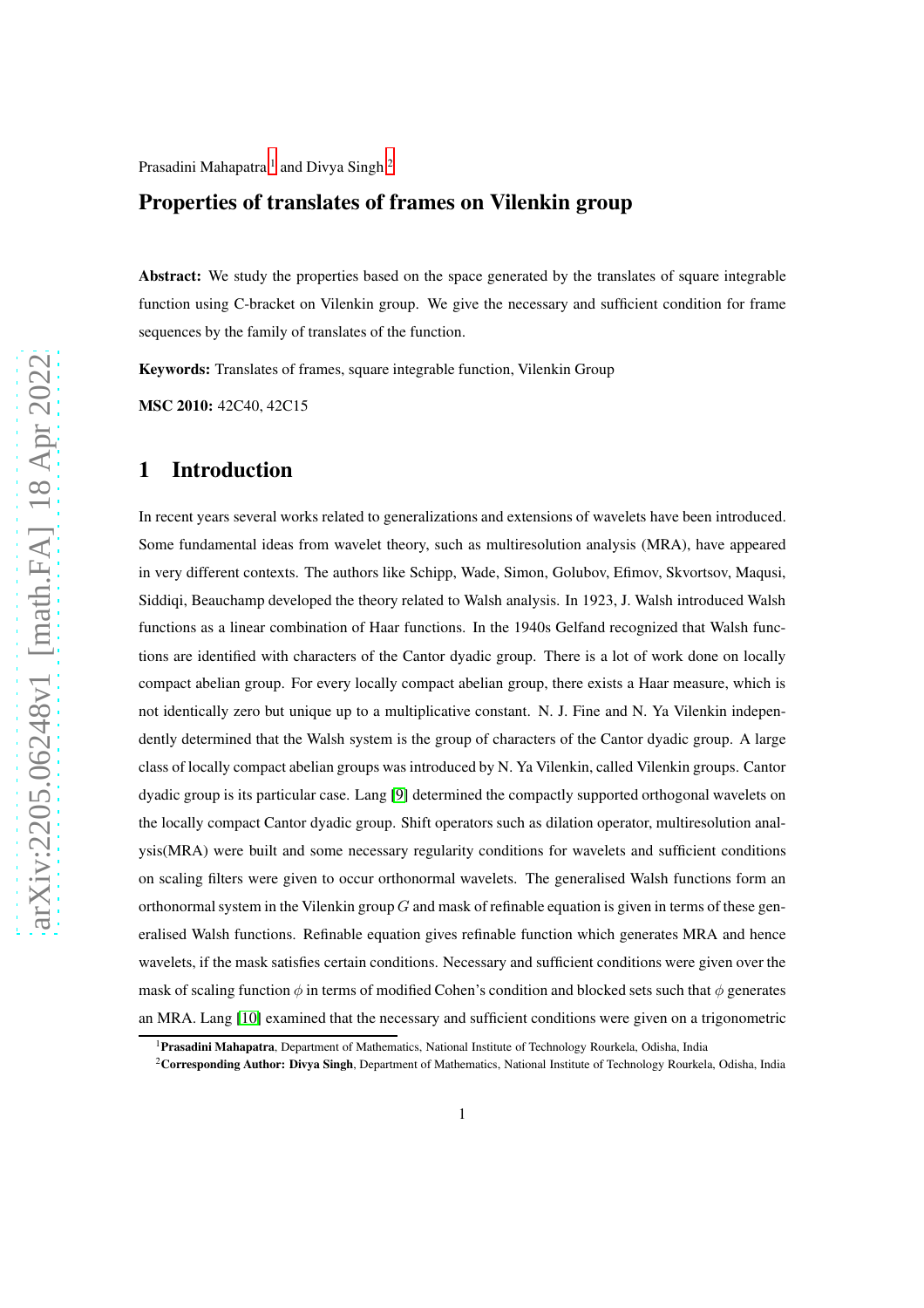Prasadini Mahapatra <sup>[1](#page-0-0)</sup> and Divya Singh <sup>[2](#page-0-1)</sup>

### Properties of translates of frames on Vilenkin group

Abstract: We study the properties based on the space generated by the translates of square integrable function using C-bracket on Vilenkin group. We give the necessary and sufficient condition for frame sequences by the family of translates of the function.

Keywords: Translates of frames, square integrable function, Vilenkin Group

MSC 2010: 42C40, 42C15

#### 1 Introduction

In recent years several works related to generalizations and extensions of wavelets have been introduced. Some fundamental ideas from wavelet theory, such as multiresolution analysis (MRA), have appeared in very different contexts. The authors like Schipp, Wade, Simon, Golubov, Efimov, Skvortsov, Maqusi, Siddiqi, Beauchamp developed the theory related to Walsh analysis. In 1923, J. Walsh introduced Walsh functions as a linear combination of Haar functions. In the 1940s Gelfand recognized that Walsh functions are identified with characters of the Cantor dyadic group. There is a lot of work done on locally compact abelian group. For every locally compact abelian group, there exists a Haar measure, which is not identically zero but unique up to a multiplicative constant. N. J. Fine and N. Ya Vilenkin independently determined that the Walsh system is the group of characters of the Cantor dyadic group. A large class of locally compact abelian groups was introduced by N. Ya Vilenkin, called Vilenkin groups. Cantor dyadic group is its particular case. Lang [\[9\]](#page-16-0) determined the compactly supported orthogonal wavelets on the locally compact Cantor dyadic group. Shift operators such as dilation operator, multiresolution analysis(MRA) were built and some necessary regularity conditions for wavelets and sufficient conditions on scaling filters were given to occur orthonormal wavelets. The generalised Walsh functions form an orthonormal system in the Vilenkin group  $G$  and mask of refinable equation is given in terms of these generalised Walsh functions. Refinable equation gives refinable function which generates MRA and hence wavelets, if the mask satisfies certain conditions. Necessary and sufficient conditions were given over the mask of scaling function  $\phi$  in terms of modified Cohen's condition and blocked sets such that  $\phi$  generates an MRA. Lang [\[10\]](#page-16-1) examined that the necessary and sufficient conditions were given on a trigonometric

<sup>&</sup>lt;sup>1</sup>Prasadini Mahapatra, Department of Mathematics, National Institute of Technology Rourkela, Odisha, India

<span id="page-0-1"></span><span id="page-0-0"></span><sup>&</sup>lt;sup>2</sup>Corresponding Author: Divya Singh, Department of Mathematics, National Institute of Technology Rourkela, Odisha, India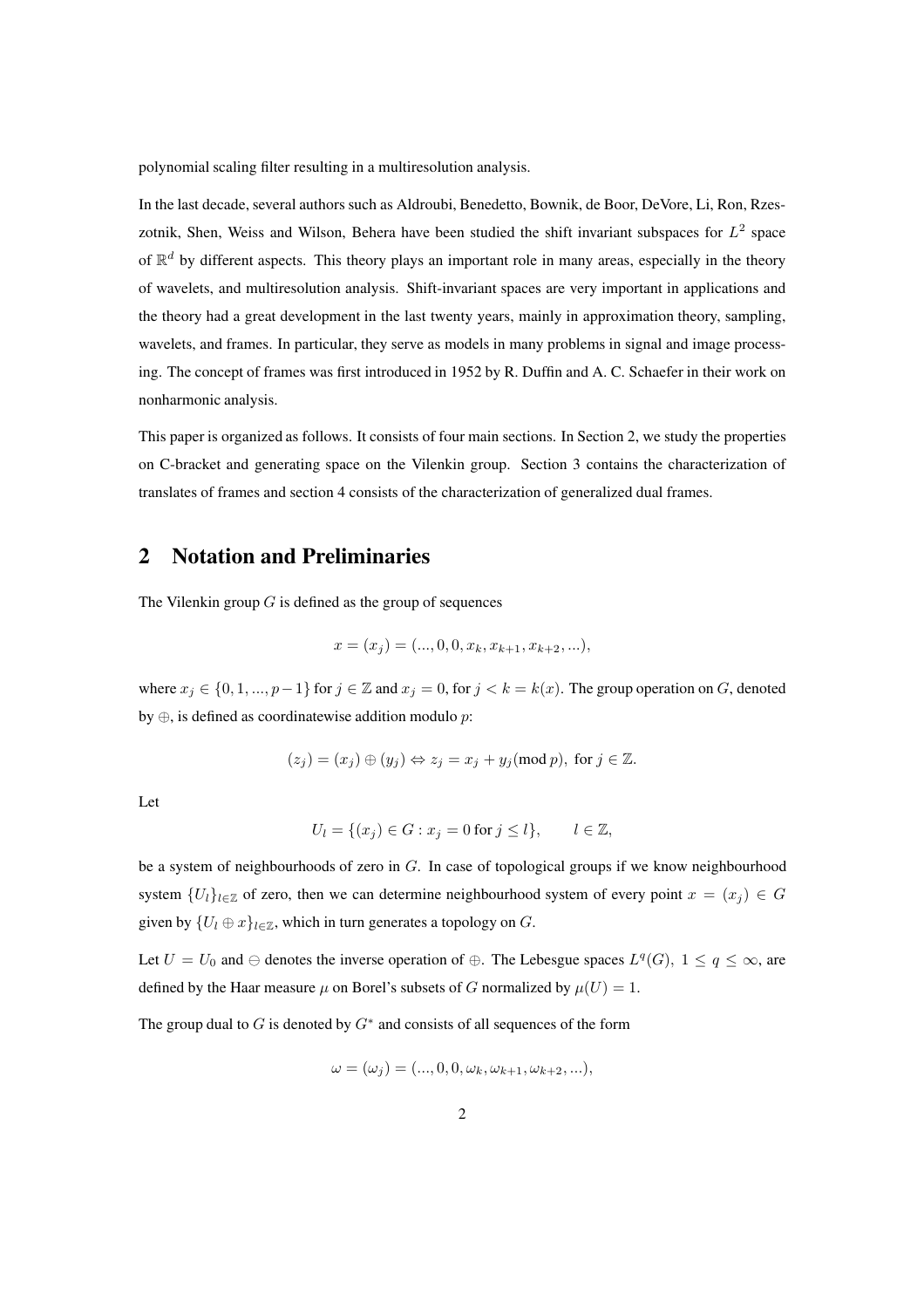polynomial scaling filter resulting in a multiresolution analysis.

In the last decade, several authors such as Aldroubi, Benedetto, Bownik, de Boor, DeVore, Li, Ron, Rzeszotnik, Shen, Weiss and Wilson, Behera have been studied the shift invariant subspaces for  $L^2$  space of  $\mathbb{R}^d$  by different aspects. This theory plays an important role in many areas, especially in the theory of wavelets, and multiresolution analysis. Shift-invariant spaces are very important in applications and the theory had a great development in the last twenty years, mainly in approximation theory, sampling, wavelets, and frames. In particular, they serve as models in many problems in signal and image processing. The concept of frames was first introduced in 1952 by R. Duffin and A. C. Schaefer in their work on nonharmonic analysis.

This paper is organized as follows. It consists of four main sections. In Section 2, we study the properties on C-bracket and generating space on the Vilenkin group. Section 3 contains the characterization of translates of frames and section 4 consists of the characterization of generalized dual frames.

### 2 Notation and Preliminaries

The Vilenkin group  $G$  is defined as the group of sequences

$$
x = (x_j) = (...,0,0,x_k,x_{k+1},x_{k+2},...),
$$

where  $x_j \in \{0, 1, ..., p-1\}$  for  $j \in \mathbb{Z}$  and  $x_j = 0$ , for  $j < k = k(x)$ . The group operation on G, denoted by  $\oplus$ , is defined as coordinatewise addition modulo p:

$$
(z_j)=(x_j)\oplus (y_j)\Leftrightarrow z_j=x_j+y_j (\text{mod }p), \text{ for } j\in \mathbb{Z}.
$$

Let

$$
U_l = \{(x_j) \in G : x_j = 0 \text{ for } j \le l\}, \qquad l \in \mathbb{Z},
$$

be a system of neighbourhoods of zero in  $G$ . In case of topological groups if we know neighbourhood system  ${U_l}_{l \in \mathbb{Z}}$  of zero, then we can determine neighbourhood system of every point  $x = (x_i) \in G$ given by  $\{U_l \oplus x\}_{l \in \mathbb{Z}}$ , which in turn generates a topology on G.

Let  $U = U_0$  and  $\ominus$  denotes the inverse operation of  $\oplus$ . The Lebesgue spaces  $L^q(G)$ ,  $1 \le q \le \infty$ , are defined by the Haar measure  $\mu$  on Borel's subsets of G normalized by  $\mu(U) = 1$ .

The group dual to  $G$  is denoted by  $G^*$  and consists of all sequences of the form

$$
\omega = (\omega_j) = (..., 0, 0, \omega_k, \omega_{k+1}, \omega_{k+2}, ...),
$$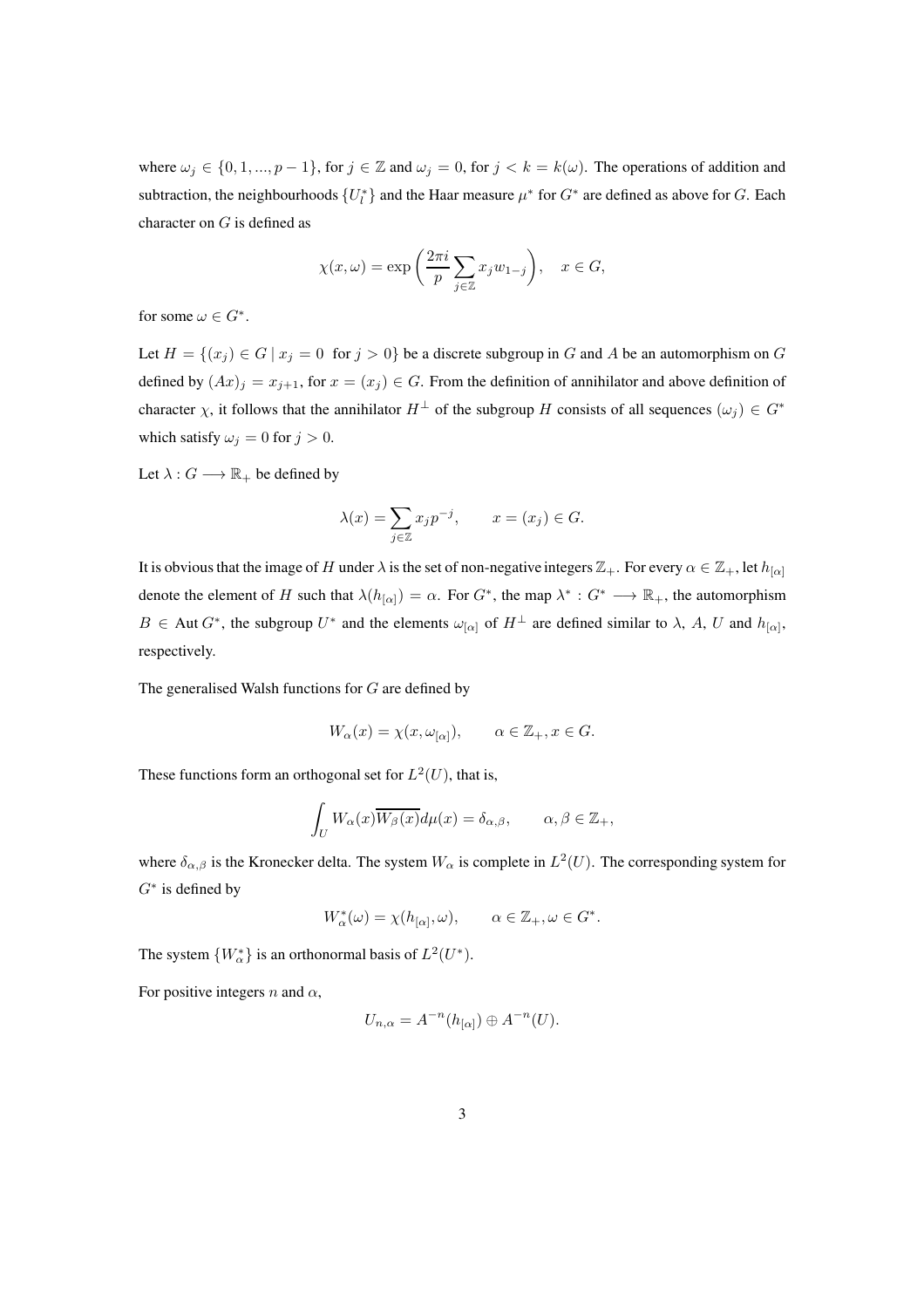where  $\omega_j \in \{0, 1, ..., p-1\}$ , for  $j \in \mathbb{Z}$  and  $\omega_j = 0$ , for  $j < k = k(\omega)$ . The operations of addition and subtraction, the neighbourhoods  $\{U_l^*\}$  and the Haar measure  $\mu^*$  for  $G^*$  are defined as above for G. Each character on G is defined as

$$
\chi(x,\omega) = \exp\left(\frac{2\pi i}{p} \sum_{j \in \mathbb{Z}} x_j w_{1-j}\right), \quad x \in G,
$$

for some  $\omega \in G^*$ .

Let  $H = \{(x_j) \in G \mid x_j = 0 \text{ for } j > 0\}$  be a discrete subgroup in G and A be an automorphism on G defined by  $(Ax)_j = x_{j+1}$ , for  $x = (x_j) \in G$ . From the definition of annihilator and above definition of character  $\chi$ , it follows that the annihilator  $H^{\perp}$  of the subgroup H consists of all sequences  $(\omega_j) \in G^*$ which satisfy  $\omega_j = 0$  for  $j > 0$ .

Let  $\lambda: G \longrightarrow \mathbb{R}_+$  be defined by

$$
\lambda(x) = \sum_{j \in \mathbb{Z}} x_j p^{-j}, \qquad x = (x_j) \in G.
$$

It is obvious that the image of H under  $\lambda$  is the set of non-negative integers  $\mathbb{Z}_+$ . For every  $\alpha \in \mathbb{Z}_+$ , let  $h_{[\alpha]}$ denote the element of H such that  $\lambda(h_{[\alpha]}) = \alpha$ . For  $G^*$ , the map  $\lambda^* : G^* \longrightarrow \mathbb{R}_+$ , the automorphism  $B \in$  Aut  $G^*$ , the subgroup  $U^*$  and the elements  $\omega_{[\alpha]}$  of  $H^{\perp}$  are defined similar to  $\lambda$ ,  $A$ ,  $U$  and  $h_{[\alpha]}$ , respectively.

The generalised Walsh functions for G are defined by

$$
W_{\alpha}(x) = \chi(x, \omega_{[\alpha]}), \qquad \alpha \in \mathbb{Z}_+, x \in G.
$$

These functions form an orthogonal set for  $L^2(U)$ , that is,

$$
\int_U W_\alpha(x) \overline{W_\beta(x)} d\mu(x) = \delta_{\alpha,\beta}, \qquad \alpha, \beta \in \mathbb{Z}_+,
$$

where  $\delta_{\alpha,\beta}$  is the Kronecker delta. The system  $W_{\alpha}$  is complete in  $L^2(U)$ . The corresponding system for  $G^*$  is defined by

$$
W_{\alpha}^*(\omega) = \chi(h_{[\alpha]}, \omega), \qquad \alpha \in \mathbb{Z}_+, \omega \in G^*.
$$

The system  $\{W_{\alpha}^*\}$  is an orthonormal basis of  $L^2(U^*)$ .

For positive integers  $n$  and  $\alpha$ ,

$$
U_{n,\alpha}=A^{-n}(h_{[\alpha]})\oplus A^{-n}(U).
$$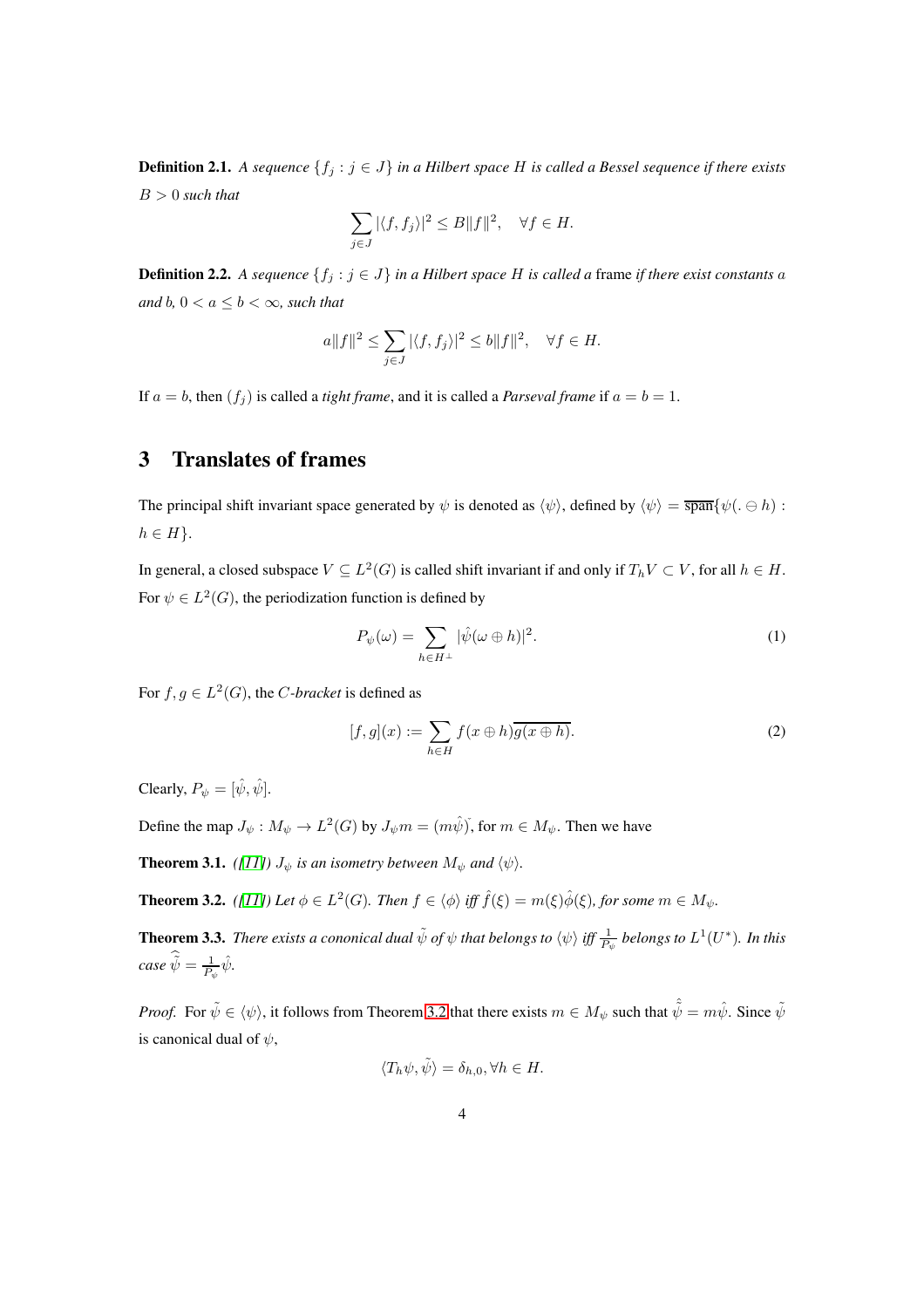**Definition 2.1.** *A sequence*  $\{f_j : j \in J\}$  *in a Hilbert space H is called a Bessel sequence if there exists* B > 0 *such that*

$$
\sum_{j\in J} |\langle f, f_j\rangle|^2 \le B \|f\|^2, \quad \forall f \in H.
$$

**Definition 2.2.** *A sequence*  $\{f_j : j \in J\}$  *in a Hilbert space H is called a frame if there exist constants a and*  $b, 0 < a \leq b < \infty$ *, such that* 

$$
a||f||^2 \le \sum_{j \in J} |\langle f, f_j \rangle|^2 \le b||f||^2, \quad \forall f \in H.
$$

If  $a = b$ , then  $(f_j)$  is called a *tight frame*, and it is called a *Parseval frame* if  $a = b = 1$ .

#### 3 Translates of frames

The principal shift invariant space generated by  $\psi$  is denoted as  $\langle \psi \rangle$ , defined by  $\langle \psi \rangle = \overline{\text{span}} \{ \psi(. \ominus h) :$  $h \in H$ .

In general, a closed subspace  $V \subseteq L^2(G)$  is called shift invariant if and only if  $T_h V \subset V$ , for all  $h \in H$ . For  $\psi \in L^2(G)$ , the periodization function is defined by

$$
P_{\psi}(\omega) = \sum_{h \in H^{\perp}} |\hat{\psi}(\omega \oplus h)|^2.
$$
 (1)

For  $f, g \in L^2(G)$ , the *C*-bracket is defined as

$$
[f,g](x) := \sum_{h \in H} f(x \oplus h) \overline{g(x \oplus h)}.
$$
 (2)

Clearly,  $P_{\psi} = [\hat{\psi}, \hat{\psi}]$ .

Define the map  $J_{\psi}: M_{\psi} \to L^2(G)$  by  $J_{\psi}m = (m\hat{\psi})$ , for  $m \in M_{\psi}$ . Then we have

**Theorem 3.1.** *([\[11\]](#page-16-2))*  $J_{\psi}$  *is an isometry between*  $M_{\psi}$  *and*  $\langle \psi \rangle$ *.* 

<span id="page-3-0"></span>**Theorem 3.2.** *([\[11\]](#page-16-2))* Let  $\phi \in L^2(G)$ . Then  $f \in \langle \phi \rangle$  iff  $\hat{f}(\xi) = m(\xi)\hat{\phi}(\xi)$ , for some  $m \in M_{\psi}$ .

**Theorem 3.3.** *There exists a cononical dual*  $\tilde{\psi}$  *of*  $\psi$  *that belongs to*  $\langle \psi \rangle$  *iff*  $\frac{1}{P_\psi}$  *belongs to*  $L^1(U^*)$ *. In this*  $\textit{case}~\tilde{\psi} = \frac{1}{P_\psi}\hat{\psi}.$ 

*Proof.* For  $\tilde{\psi} \in {\langle \psi \rangle}$ , it follows from Theorem [3.2](#page-3-0) that there exists  $m \in M_{\psi}$  such that  $\hat{\tilde{\psi}} = m\hat{\psi}$ . Since  $\tilde{\psi}$ is canonical dual of  $\psi$ ,

$$
\langle T_h \psi, \tilde{\psi} \rangle = \delta_{h,0}, \forall h \in H.
$$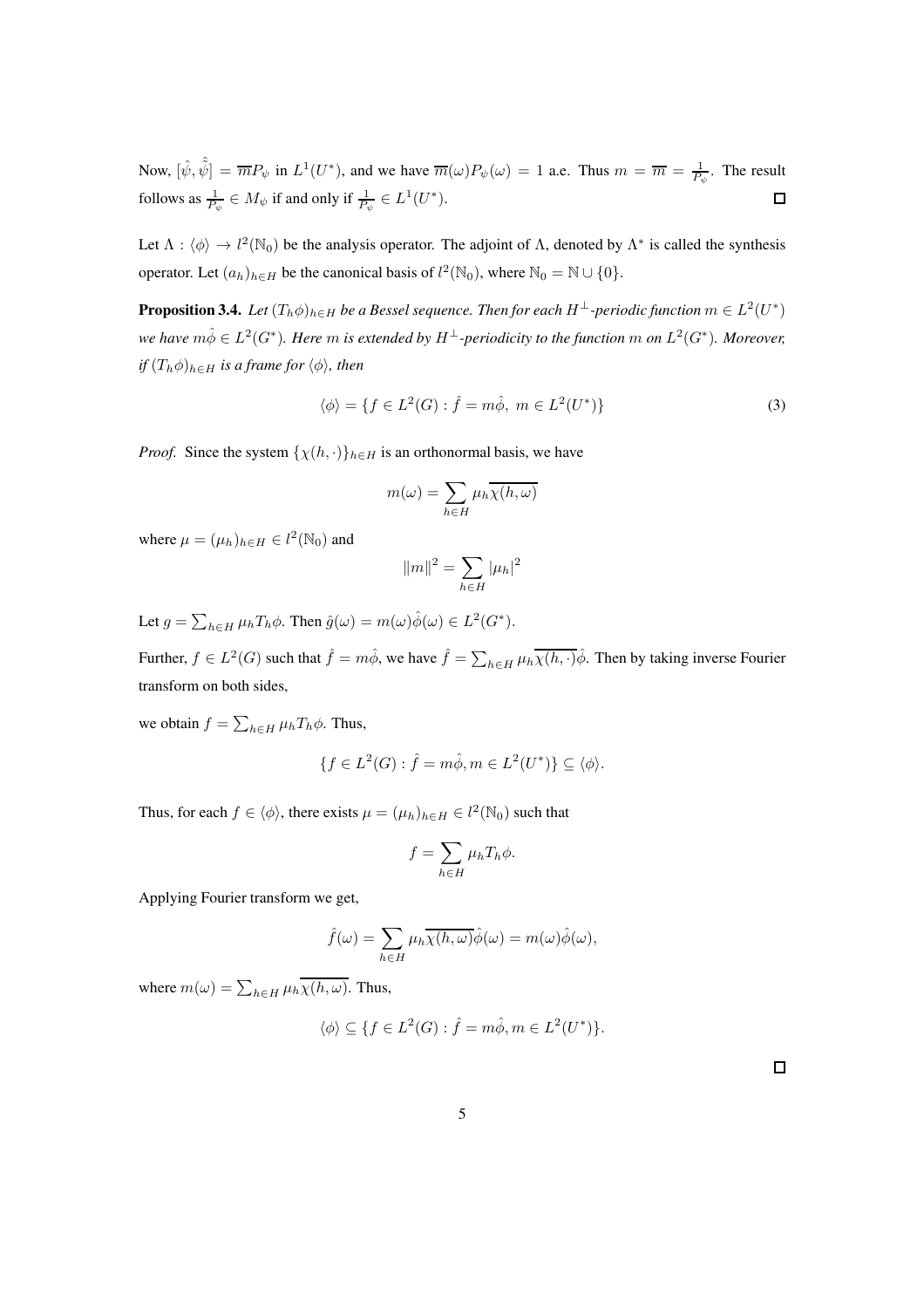Now,  $[\hat{\psi}, \hat{\psi}] = \overline{m} P_{\psi}$  in  $L^1(U^*)$ , and we have  $\overline{m}(\omega) P_{\psi}(\omega) = 1$  a.e. Thus  $m = \overline{m} = \frac{1}{P_{\psi}}$ . The result follows as  $\frac{1}{P_{\psi}} \in M_{\psi}$  if and only if  $\frac{1}{P_{\psi}} \in L^1(U^*)$ .  $\Box$ 

Let  $\Lambda : \langle \phi \rangle \to l^2(\mathbb{N}_0)$  be the analysis operator. The adjoint of  $\Lambda$ , denoted by  $\Lambda^*$  is called the synthesis operator. Let  $(a_h)_{h \in H}$  be the canonical basis of  $l^2(\mathbb{N}_0)$ , where  $\mathbb{N}_0 = \mathbb{N} \cup \{0\}$ .

<span id="page-4-0"></span>**Proposition 3.4.** Let  $(T_h \phi)_{h \in H}$  be a Bessel sequence. Then for each  $H^\perp$ -periodic function  $m \in L^2(U^*)$ we have  $m\hat{\phi}\in L^2(G^*).$  Here  $m$  is extended by  $H^\perp$ -periodicity to the function  $m$  on  $L^2(G^*).$  Moreover, *if*  $(T_h \phi)_{h \in H}$  *is a frame for*  $\langle \phi \rangle$ *, then* 

$$
\langle \phi \rangle = \{ f \in L^2(G) : \hat{f} = m\hat{\phi}, \ m \in L^2(U^*) \}
$$
 (3)

*Proof.* Since the system  $\{\chi(h, \cdot)\}_{h \in H}$  is an orthonormal basis, we have

$$
m(\omega) = \sum_{h \in H} \mu_h \overline{\chi(h, \omega)}
$$

where  $\mu = (\mu_h)_{h \in H} \in l^2(\mathbb{N}_0)$  and

$$
||m||^2 = \sum_{h \in H} |\mu_h|^2
$$

Let  $g = \sum_{h \in H} \mu_h T_h \phi$ . Then  $\hat{g}(\omega) = m(\omega) \hat{\phi}(\omega) \in L^2(G^*)$ .

Further,  $f \in L^2(G)$  such that  $\hat{f} = m\hat{\phi}$ , we have  $\hat{f} = \sum_{h \in H} \mu_h \overline{\chi(h, \cdot)} \hat{\phi}$ . Then by taking inverse Fourier transform on both sides,

we obtain  $f = \sum_{h \in H} \mu_h T_h \phi$ . Thus,

$$
\{f \in L^2(G) : \hat{f} = m\hat{\phi}, m \in L^2(U^*)\} \subseteq \langle \phi \rangle.
$$

Thus, for each  $f \in \langle \phi \rangle$ , there exists  $\mu = (\mu_h)_{h \in H} \in l^2(\mathbb{N}_0)$  such that

$$
f = \sum_{h \in H} \mu_h T_h \phi.
$$

Applying Fourier transform we get,

$$
\hat{f}(\omega) = \sum_{h \in H} \mu_h \overline{\chi(h,\omega)} \hat{\phi}(\omega) = m(\omega) \hat{\phi}(\omega),
$$

where  $m(\omega) = \sum_{h \in H} \mu_h \overline{\chi(h, \omega)}$ . Thus,

$$
\langle \phi \rangle \subseteq \{ f \in L^2(G) : \hat{f} = m\hat{\phi}, m \in L^2(U^*) \}.
$$

 $\Box$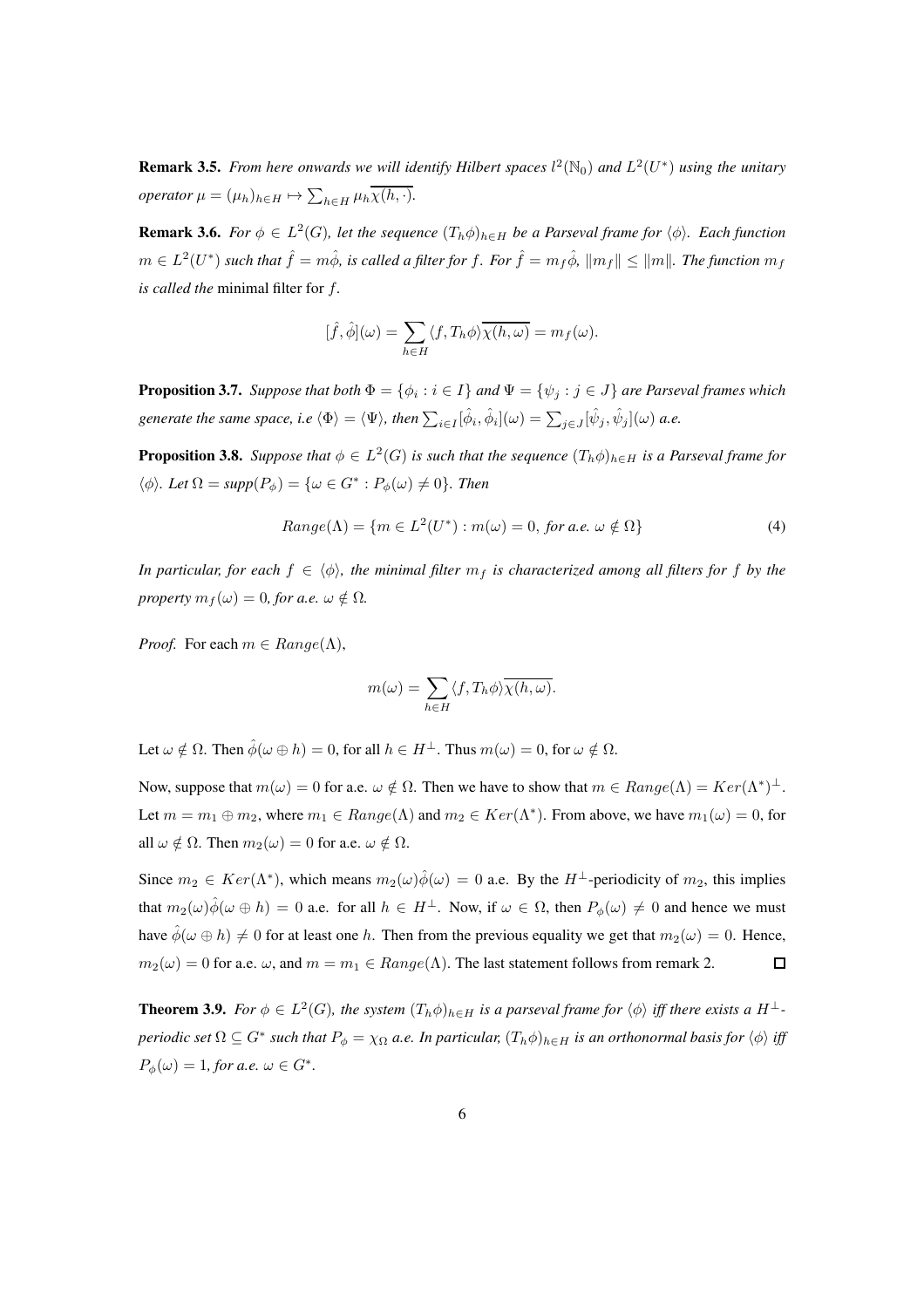**Remark 3.5.** From here onwards we will identify Hilbert spaces  $l^2(\mathbb{N}_0)$  and  $L^2(U^*)$  using the unitary *operator*  $\mu = (\mu_h)_{h \in H} \mapsto \sum_{h \in H} \mu_h \overline{\chi(h, \cdot)}$ .

**Remark 3.6.** *For*  $\phi \in L^2(G)$ , let the sequence  $(T_h \phi)_{h \in H}$  be a Parseval frame for  $\langle \phi \rangle$ . Each function  $m\in L^2(U^*)$  such that  $\hat f=m\hat\phi$ , is called a filter for  $f.$  For  $\hat f=m_f\hat\phi$ ,  $\|m_f\|\leq \|m\|.$  The function  $m_f$ *is called the* minimal filter for f*.*

$$
[\hat{f}, \hat{\phi}](\omega) = \sum_{h \in H} \langle f, T_h \phi \rangle \overline{\chi(h, \omega)} = m_f(\omega).
$$

**Proposition 3.7.** *Suppose that both*  $\Phi = \{\phi_i : i \in I\}$  *and*  $\Psi = \{\psi_j : j \in J\}$  *are Parseval frames which* generate the same space, i.e  $\langle \Phi \rangle = \langle \Psi \rangle$ , then  $\sum_{i \in I} [\hat \phi_i, \hat \phi_i](\omega) = \sum_{j \in J} [\hat \psi_j, \hat \psi_j](\omega)$  a.e.

**Proposition 3.8.** Suppose that  $\phi \in L^2(G)$  is such that the sequence  $(T_h \phi)_{h \in H}$  is a Parseval frame for  $\langle \phi \rangle$ *. Let*  $\Omega = \text{supp}(P_{\phi}) = \{ \omega \in G^* : P_{\phi}(\omega) \neq 0 \}$ *. Then* 

$$
Range(\Lambda) = \{ m \in L^{2}(U^{*}) : m(\omega) = 0, \text{ for a.e. } \omega \notin \Omega \}
$$
\n
$$
(4)
$$

*In particular, for each*  $f \in \langle \phi \rangle$ *, the minimal filter*  $m_f$  *is characterized among all filters for* f *by the property*  $m_f(\omega) = 0$ *, for a.e.*  $\omega \notin \Omega$ *.* 

*Proof.* For each  $m \in Range(\Lambda)$ ,

$$
m(\omega) = \sum_{h \in H} \langle f, T_h \phi \rangle \overline{\chi(h, \omega)}.
$$

Let  $\omega \notin \Omega$ . Then  $\hat{\phi}(\omega \oplus h) = 0$ , for all  $h \in H^{\perp}$ . Thus  $m(\omega) = 0$ , for  $\omega \notin \Omega$ .

Now, suppose that  $m(\omega) = 0$  for a.e.  $\omega \notin \Omega$ . Then we have to show that  $m \in Range(\Lambda) = Ker(\Lambda^*)^{\perp}$ . Let  $m = m_1 \oplus m_2$ , where  $m_1 \in Range(\Lambda)$  and  $m_2 \in Ker(\Lambda^*)$ . From above, we have  $m_1(\omega) = 0$ , for all  $\omega \notin \Omega$ . Then  $m_2(\omega) = 0$  for a.e.  $\omega \notin \Omega$ .

Since  $m_2 \in Ker(\Lambda^*)$ , which means  $m_2(\omega)\hat{\phi}(\omega) = 0$  a.e. By the  $H^{\perp}$ -periodicity of  $m_2$ , this implies that  $m_2(\omega)\hat{\phi}(\omega \oplus h) = 0$  a.e. for all  $h \in H^{\perp}$ . Now, if  $\omega \in \Omega$ , then  $P_{\phi}(\omega) \neq 0$  and hence we must have  $\hat{\phi}(\omega \oplus h) \neq 0$  for at least one h. Then from the previous equality we get that  $m_2(\omega) = 0$ . Hence,  $m_2(\omega) = 0$  for a.e.  $\omega$ , and  $m = m_1 \in Range(\Lambda)$ . The last statement follows from remark 2.  $\Box$ 

**Theorem 3.9.** *For*  $\phi \in L^2(G)$ *, the system*  $(T_h \phi)_{h \in H}$  *is a parseval frame for*  $\langle \phi \rangle$  *iff there exists a*  $H^{\perp}$ *periodic set*  $\Omega \subseteq G^*$  *such that*  $P_\phi = \chi_\Omega$  *a.e. In particular,*  $(T_h \phi)_{h\in H}$  *is an orthonormal basis for*  $\langle \phi \rangle$  *iff*  $P_{\phi}(\omega) = 1$ *, for a.e.*  $\omega \in G^*$ *.*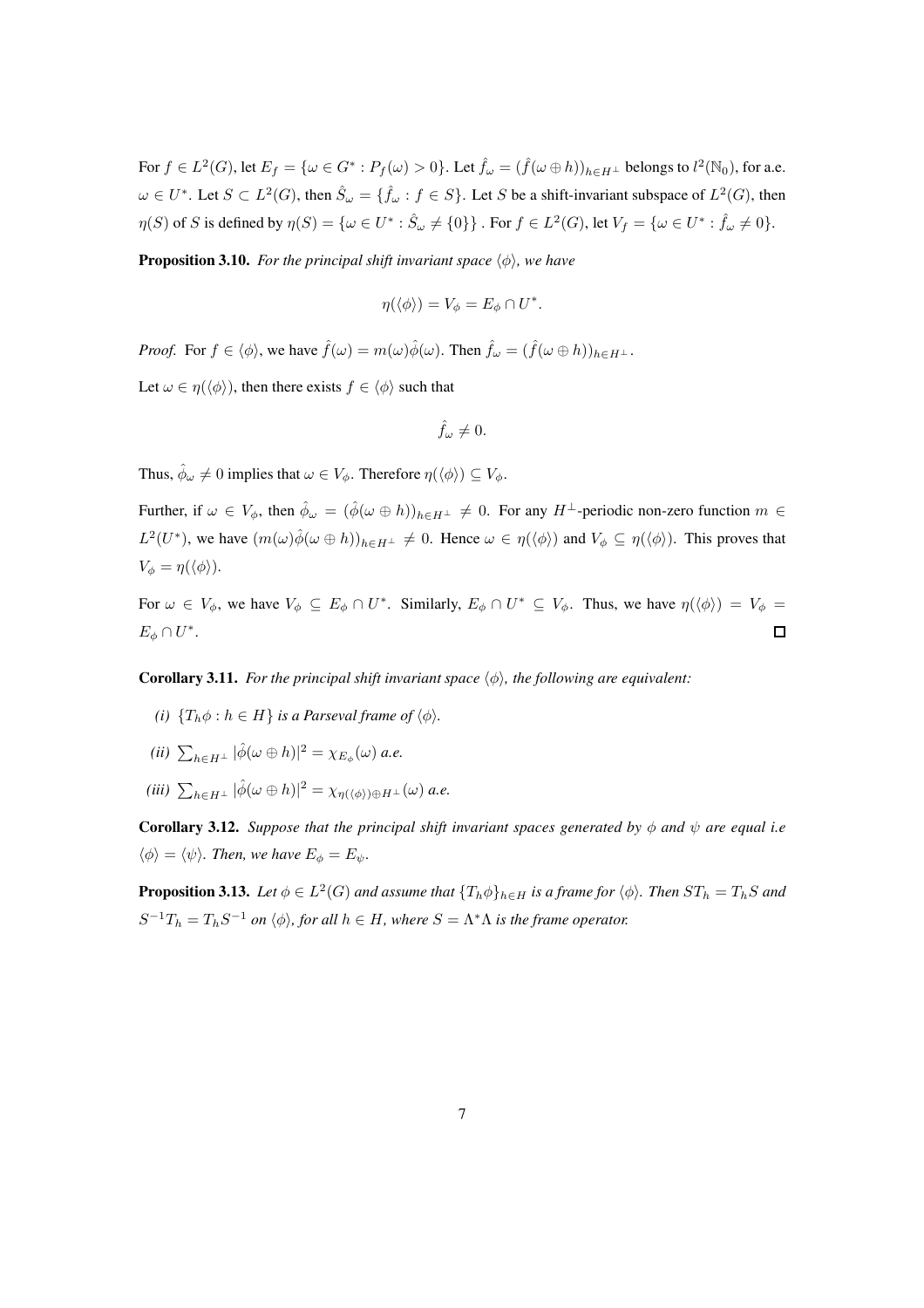For  $f \in L^2(G)$ , let  $E_f = \{ \omega \in G^* : P_f(\omega) > 0 \}$ . Let  $\hat{f}_\omega = (\hat{f}(\omega \oplus h))_{h \in H^\perp}$  belongs to  $l^2(\mathbb{N}_0)$ , for a.e.  $\omega \in U^*$ . Let  $S \subset L^2(G)$ , then  $\hat{S}_{\omega} = \{\hat{f}_{\omega} : f \in S\}$ . Let S be a shift-invariant subspace of  $L^2(G)$ , then  $\eta(S)$  of S is defined by  $\eta(S) = \{ \omega \in U^* : \hat{S}_\omega \neq \{0\} \}$ . For  $f \in L^2(G)$ , let  $V_f = \{ \omega \in U^* : \hat{f}_\omega \neq 0 \}$ .

**Proposition 3.10.** *For the principal shift invariant space*  $\langle \phi \rangle$ *, we have* 

$$
\eta(\langle \phi \rangle) = V_{\phi} = E_{\phi} \cap U^*.
$$

*Proof.* For  $f \in \langle \phi \rangle$ , we have  $\hat{f}(\omega) = m(\omega)\hat{\phi}(\omega)$ . Then  $\hat{f}_{\omega} = (\hat{f}(\omega \oplus h))_{h \in H^{\perp}}$ .

Let  $\omega \in \eta(\langle \phi \rangle)$ , then there exists  $f \in \langle \phi \rangle$  such that

$$
\hat{f}_{\omega}\neq 0.
$$

Thus,  $\hat{\phi}_{\omega} \neq 0$  implies that  $\omega \in V_{\phi}$ . Therefore  $\eta(\langle \phi \rangle) \subseteq V_{\phi}$ .

Further, if  $\omega \in V_{\phi}$ , then  $\hat{\phi}_{\omega} = (\hat{\phi}(\omega \oplus h))_{h \in H^{\perp}} \neq 0$ . For any  $H^{\perp}$ -periodic non-zero function  $m \in$  $L^2(U^*)$ , we have  $(m(\omega)\hat{\phi}(\omega \oplus h))_{h\in H^{\perp}} \neq 0$ . Hence  $\omega \in \eta(\langle \phi \rangle)$  and  $V_{\phi} \subseteq \eta(\langle \phi \rangle)$ . This proves that  $V_{\phi} = \eta(\langle \phi \rangle).$ 

For  $\omega \in V_{\phi}$ , we have  $V_{\phi} \subseteq E_{\phi} \cap U^*$ . Similarly,  $E_{\phi} \cap U^* \subseteq V_{\phi}$ . Thus, we have  $\eta(\langle \phi \rangle) = V_{\phi} =$  $E_{\phi} \cap U^*$ .  $\Box$ 

**Corollary 3.11.** *For the principal shift invariant space*  $\langle \phi \rangle$ *, the following are equivalent:* 

- *(i)*  ${T_h \phi : h \in H}$  *is a Parseval frame of*  $\langle \phi \rangle$ *.*
- $(ii)$   $\sum_{h\in H^\perp} |\hat{\phi}(\omega \oplus h)|^2 = \chi_{E_\phi}(\omega)$  a.e.
- $(iii)$   $\sum_{h\in H^{\perp}} |\hat{\phi}(\omega \oplus h)|^2 = \chi_{\eta(\langle \phi \rangle) \oplus H^{\perp}}(\omega)$  *a.e.*

**Corollary 3.12.** *Suppose that the principal shift invariant spaces generated by*  $\phi$  *and*  $\psi$  *are equal i.e*  $\langle \phi \rangle = \langle \psi \rangle$ *. Then, we have*  $E_{\phi} = E_{\psi}$ *.* 

**Proposition 3.13.** Let  $\phi \in L^2(G)$  and assume that  $\{T_h \phi\}_{h \in H}$  is a frame for  $\langle \phi \rangle$ . Then  $ST_h = T_h S$  and  $S^{-1}T_h = T_hS^{-1}$  *on*  $\langle \phi \rangle$ *, for all*  $h \in H$ *, where*  $S = \Lambda^* \Lambda$  *is the frame operator.*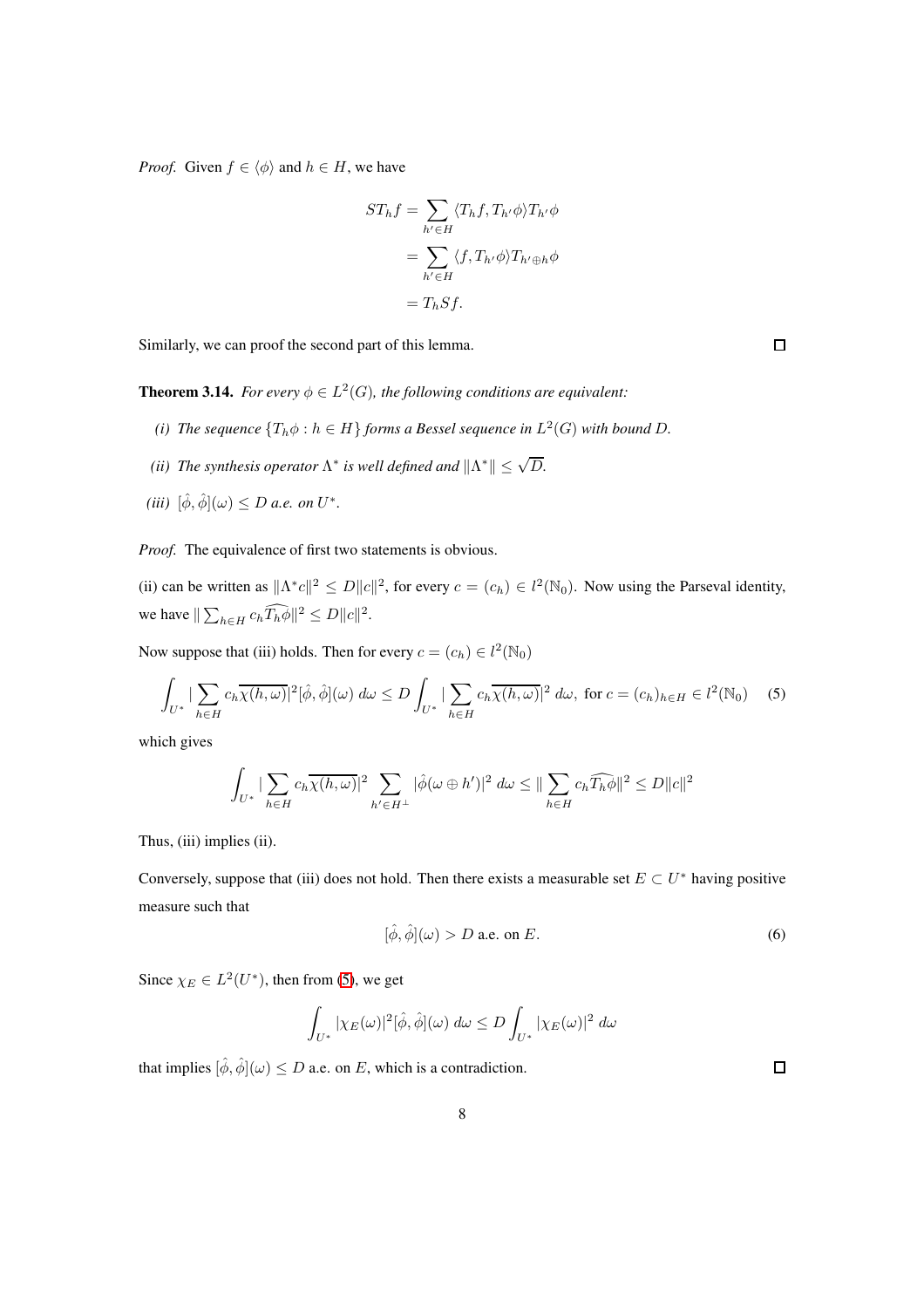*Proof.* Given  $f \in \langle \phi \rangle$  and  $h \in H$ , we have

$$
ST_h f = \sum_{h' \in H} \langle T_h f, T_{h'} \phi \rangle T_{h'} \phi
$$

$$
= \sum_{h' \in H} \langle f, T_{h'} \phi \rangle T_{h' \oplus h} \phi
$$

$$
= T_h S f.
$$

Similarly, we can proof the second part of this lemma.

<span id="page-7-1"></span>**Theorem 3.14.** For every  $\phi \in L^2(G)$ , the following conditions are equivalent:

- (*i*) The sequence  ${T_h \phi : h \in H}$  forms a Bessel sequence in  $L^2(G)$  with bound D.
- *(ii)* The synthesis operator  $\Lambda^*$  is well defined and  $\|\Lambda^*\| \leq \sqrt{D}$ .
- $(iii)$   $[\hat{\phi}, \hat{\phi}](\omega) \leq D$  *a.e.* on  $U^*$ .

*Proof.* The equivalence of first two statements is obvious.

(ii) can be written as  $||\Lambda^* c||^2 \le D||c||^2$ , for every  $c = (c_h) \in l^2(\mathbb{N}_0)$ . Now using the Parseval identity, we have  $\|\sum_{h\in H} c_h \widehat{T_h \phi}\|^2 \le D \|c\|^2$ .

Now suppose that (iii) holds. Then for every  $c = (c_h) \in l^2(\mathbb{N}_0)$ 

<span id="page-7-0"></span>
$$
\int_{U^*} \left| \sum_{h \in H} c_h \overline{\chi(h,\omega)} \right|^2 [\hat{\phi}, \hat{\phi}](\omega) d\omega \le D \int_{U^*} \left| \sum_{h \in H} c_h \overline{\chi(h,\omega)} \right|^2 d\omega, \text{ for } c = (c_h)_{h \in H} \in l^2(\mathbb{N}_0) \quad (5)
$$

which gives

$$
\int_{U^*} \left| \sum_{h \in H} c_h \overline{\chi(h,\omega)} \right|^2 \sum_{h' \in H^\perp} |\hat{\phi}(\omega \oplus h')|^2 d\omega \le ||\sum_{h \in H} c_h \widehat{T_h \phi}||^2 \le D||c||^2
$$

Thus, (iii) implies (ii).

Conversely, suppose that (iii) does not hold. Then there exists a measurable set  $E \subset U^*$  having positive measure such that

$$
[\hat{\phi}, \hat{\phi}](\omega) > D \text{ a.e. on } E. \tag{6}
$$

Since  $\chi_E \in L^2(U^*)$ , then from [\(5\)](#page-7-0), we get

$$
\int_{U^*} |\chi_E(\omega)|^2 [\hat{\phi}, \hat{\phi}](\omega) d\omega \le D \int_{U^*} |\chi_E(\omega)|^2 d\omega
$$

that implies  $[\hat{\phi}, \hat{\phi}](\omega) \leq D$  a.e. on E, which is a contradiction.

 $\Box$ 

 $\Box$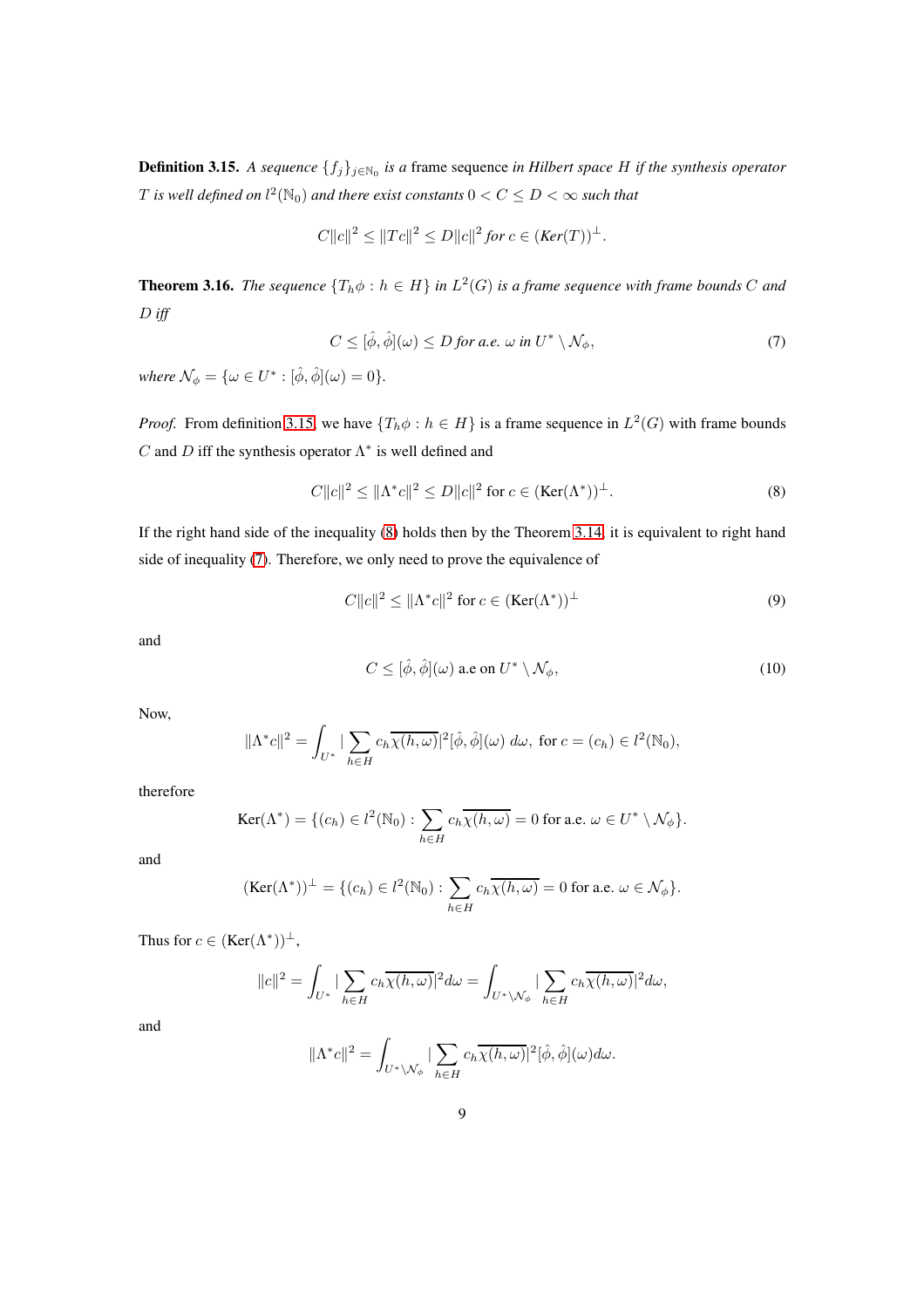<span id="page-8-0"></span>**Definition 3.15.** *A sequence*  $\{f_j\}_{j \in \mathbb{N}_0}$  *is a* frame sequence *in Hilbert space H if the synthesis operator*  $T$  is well defined on  $l^2(\mathbb{N}_0)$  and there exist constants  $0 < C \leq D < \infty$  such that

$$
C||c||^2 \le ||Tc||^2 \le D||c||^2 \text{ for } c \in (\text{Ker}(T))^{\perp}.
$$

<span id="page-8-5"></span>**Theorem 3.16.** The sequence  $\{T_h \phi : h \in H\}$  in  $L^2(G)$  is a frame sequence with frame bounds C and D *iff*

<span id="page-8-2"></span>
$$
C \leq [\hat{\phi}, \hat{\phi}](\omega) \leq D \text{ for a.e. } \omega \text{ in } U^* \setminus \mathcal{N}_{\phi}, \tag{7}
$$

*where*  $\mathcal{N}_{\phi} = {\omega \in U^* : [\hat{\phi}, \hat{\phi}](\omega) = 0}.$ 

*Proof.* From definition [3.15,](#page-8-0) we have  $\{T_h \phi : h \in H\}$  is a frame sequence in  $L^2(G)$  with frame bounds C and D iff the synthesis operator  $\Lambda^*$  is well defined and

<span id="page-8-1"></span>
$$
C||c||2 \le ||\Lambda^*c||2 \le D||c||2 \text{ for } c \in (\text{Ker}(\Lambda^*))^{\perp}.
$$
 (8)

If the right hand side of the inequality [\(8\)](#page-8-1) holds then by the Theorem [3.14,](#page-7-1) it is equivalent to right hand side of inequality [\(7\)](#page-8-2). Therefore, we only need to prove the equivalence of

<span id="page-8-3"></span>
$$
C||c||^2 \le ||\Lambda^*c||^2 \text{ for } c \in (\text{Ker}(\Lambda^*))^\perp \tag{9}
$$

and

<span id="page-8-4"></span>
$$
C \leq [\hat{\phi}, \hat{\phi}](\omega) \text{ a.e on } U^* \setminus \mathcal{N}_{\phi},\tag{10}
$$

Now,

$$
\|\Lambda^*c\|^2 = \int_{U^*} \left|\sum_{h\in H} c_h \overline{\chi(h,\omega)}\right|^2[\hat{\phi},\hat{\phi}](\omega) d\omega, \text{ for } c = (c_h) \in l^2(\mathbb{N}_0),
$$

therefore

$$
\operatorname{Ker}(\Lambda^*) = \{ (c_h) \in l^2(\mathbb{N}_0) : \sum_{h \in H} c_h \overline{\chi(h,\omega)} = 0 \text{ for a.e. } \omega \in U^* \setminus \mathcal{N}_{\phi} \}.
$$

and

$$
(\text{Ker}(\Lambda^*))^{\perp} = \{(c_h) \in l^2(\mathbb{N}_0) : \sum_{h \in H} c_h \overline{\chi(h,\omega)} = 0 \text{ for a.e. } \omega \in \mathcal{N}_{\phi}\}.
$$

Thus for  $c \in (\text{Ker}(\Lambda^*))^{\perp}$ ,

$$
||c||^2 = \int_{U^*} |\sum_{h \in H} c_h \overline{\chi(h,\omega)}|^2 d\omega = \int_{U^* \backslash \mathcal{N}_{\phi}} |\sum_{h \in H} c_h \overline{\chi(h,\omega)}|^2 d\omega,
$$

and

$$
\|\Lambda^*c\|^2=\int_{U^*\backslash \mathcal{N}_{\phi}}|\sum_{h\in H}c_h\overline{\chi(h,\omega)}|^2[\hat{\phi},\hat{\phi}](\omega)d\omega.
$$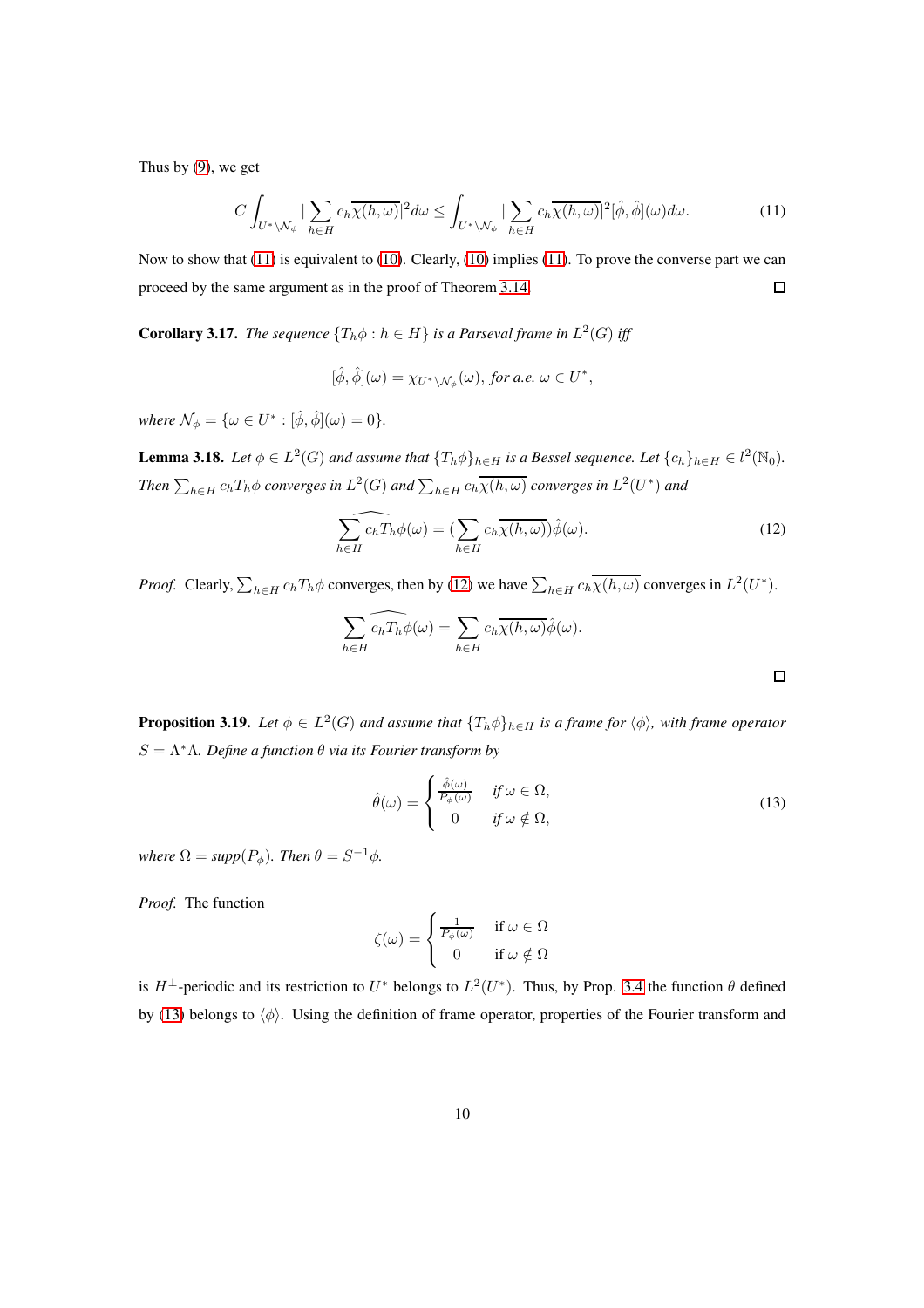Thus by [\(9\)](#page-8-3), we get

<span id="page-9-0"></span>
$$
C\int_{U^*\backslash \mathcal{N}_{\phi}}|\sum_{h\in H}c_h\overline{\chi(h,\omega)}|^2d\omega \leq \int_{U^*\backslash \mathcal{N}_{\phi}}|\sum_{h\in H}c_h\overline{\chi(h,\omega)}|^2[\hat{\phi},\hat{\phi}](\omega)d\omega. \tag{11}
$$

Now to show that [\(11\)](#page-9-0) is equivalent to [\(10\)](#page-8-4). Clearly, [\(10\)](#page-8-4) implies [\(11\)](#page-9-0). To prove the converse part we can  $\Box$ proceed by the same argument as in the proof of Theorem [3.14.](#page-7-1)

**Corollary 3.17.** *The sequence*  $\{T_h \phi : h \in H\}$  *is a Parseval frame in*  $L^2(G)$  *iff* 

$$
[\hat{\phi}, \hat{\phi}](\omega) = \chi_{U^* \backslash \mathcal{N}_{\phi}}(\omega), \text{ for a.e. } \omega \in U^*,
$$

*where*  $\mathcal{N}_{\phi} = {\omega \in U^* : [\hat{\phi}, \hat{\phi}](\omega) = 0}.$ 

<span id="page-9-3"></span>**Lemma 3.18.** Let  $\phi \in L^2(G)$  and assume that  $\{T_h \phi\}_{h \in H}$  is a Bessel sequence. Let  $\{c_h\}_{h \in H} \in l^2(\mathbb{N}_0)$ . Then  $\sum_{h\in H}c_hT_h\phi$  converges in  $L^2(G)$  and  $\sum_{h\in H}c_h\overline{\chi(h,\omega)}$  converges in  $L^2(U^*)$  and

<span id="page-9-1"></span>
$$
\widehat{\sum_{h \in H} c_h T_h \phi(\omega)} = \left(\sum_{h \in H} c_h \overline{\chi(h, \omega)}\right) \hat{\phi}(\omega). \tag{12}
$$

*Proof.* Clearly,  $\sum_{h \in H} c_h T_h \phi$  converges, then by [\(12\)](#page-9-1) we have  $\sum_{h \in H} c_h \overline{\chi(h,\omega)}$  converges in  $L^2(U^*)$ .

$$
\sum_{h \in H} \widehat{c_h T_h} \phi(\omega) = \sum_{h \in H} c_h \overline{\chi(h, \omega)} \hat{\phi}(\omega).
$$

**Proposition 3.19.** Let  $\phi \in L^2(G)$  and assume that  $\{T_h \phi\}_{h \in H}$  is a frame for  $\langle \phi \rangle$ , with frame operator S = Λ<sup>∗</sup>Λ*. Define a function* θ *via its Fourier transform by*

<span id="page-9-2"></span>
$$
\hat{\theta}(\omega) = \begin{cases} \frac{\hat{\phi}(\omega)}{P_{\phi}(\omega)} & \text{if } \omega \in \Omega, \\ 0 & \text{if } \omega \notin \Omega, \end{cases} \tag{13}
$$

*where*  $\Omega = supp(P_{\phi})$ *. Then*  $\theta = S^{-1}\phi$ *.* 

*Proof.* The function

$$
\zeta(\omega) = \begin{cases} \frac{1}{P_{\phi}(\omega)} & \text{if } \omega \in \Omega \\ 0 & \text{if } \omega \notin \Omega \end{cases}
$$

is  $H^{\perp}$ -periodic and its restriction to  $U^*$  belongs to  $L^2(U^*)$ . Thus, by Prop. [3.4](#page-4-0) the function  $\theta$  defined by [\(13\)](#page-9-2) belongs to  $\langle \phi \rangle$ . Using the definition of frame operator, properties of the Fourier transform and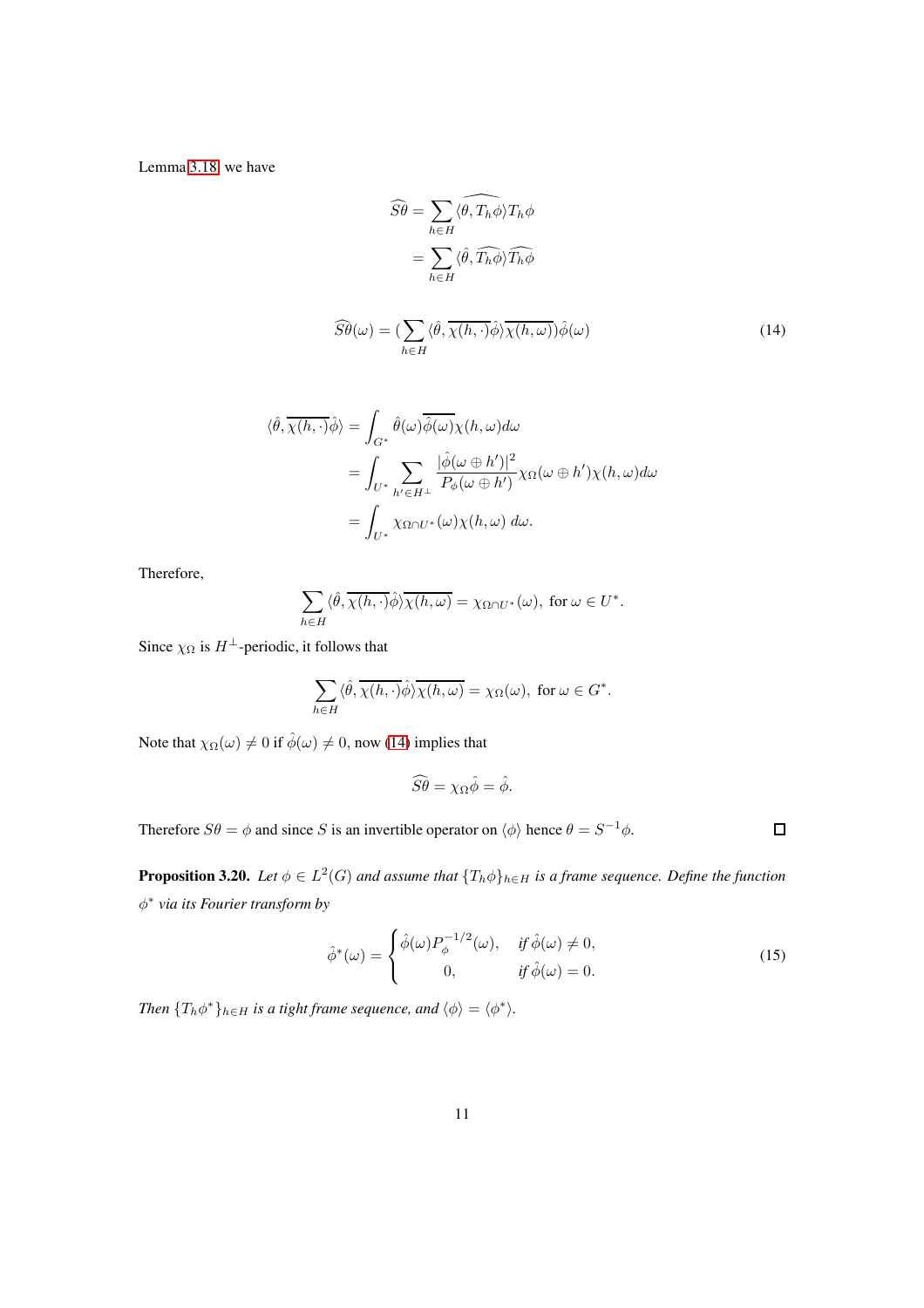Lemma [3.18,](#page-9-3) we have

<span id="page-10-0"></span>
$$
\widehat{S}\widehat{\theta} = \sum_{h \in H} \widehat{\langle \theta, T_h \phi \rangle} T_h \phi
$$

$$
= \sum_{h \in H} \langle \widehat{\theta}, \widehat{T_h \phi} \rangle \widehat{T_h \phi}
$$

$$
\widehat{S\theta}(\omega) = \left(\sum_{h \in H} \langle \hat{\theta}, \overline{\chi(h, \cdot)} \hat{\phi} \rangle \overline{\chi(h, \omega)} \right) \hat{\phi}(\omega) \tag{14}
$$

$$
\langle \hat{\theta}, \overline{\chi(h, \cdot)} \hat{\phi} \rangle = \int_{G^*} \hat{\theta}(\omega) \overline{\hat{\phi}(\omega)} \chi(h, \omega) d\omega
$$
  
= 
$$
\int_{U^*} \sum_{h' \in H^{\perp}} \frac{|\hat{\phi}(\omega \oplus h')|^2}{P_{\phi}(\omega \oplus h')} \chi_{\Omega}(\omega \oplus h') \chi(h, \omega) d\omega
$$
  
= 
$$
\int_{U^*} \chi_{\Omega \cap U^*}(\omega) \chi(h, \omega) d\omega.
$$

Therefore,

$$
\sum_{h\in H} \langle \hat{\theta}, \overline{\chi(h, \cdot)} \hat{\phi} \rangle \overline{\chi(h, \omega)} = \chi_{\Omega \cap U^*}(\omega), \text{ for } \omega \in U^*.
$$

Since  $\chi_{\Omega}$  is  $H^{\perp}$ -periodic, it follows that

$$
\sum_{h\in H} \langle \hat{\theta}, \overline{\chi(h, \cdot)} \hat{\phi} \rangle \overline{\chi(h, \omega)} = \chi_{\Omega}(\omega), \text{ for } \omega \in G^*.
$$

Note that  $\chi_{\Omega}(\omega) \neq 0$  if  $\hat{\phi}(\omega) \neq 0$ , now [\(14\)](#page-10-0) implies that

$$
\widehat{S}\widehat{\theta} = \chi_{\Omega}\widehat{\phi} = \widehat{\phi}.
$$

Therefore  $S\theta = \phi$  and since S is an invertible operator on  $\langle \phi \rangle$  hence  $\theta = S^{-1}\phi$ .

 $\Box$ 

**Proposition 3.20.** Let  $\phi \in L^2(G)$  and assume that  $\{T_h \phi\}_{h \in H}$  is a frame sequence. Define the function φ ∗ *via its Fourier transform by*

$$
\hat{\phi}^*(\omega) = \begin{cases} \hat{\phi}(\omega) P_{\phi}^{-1/2}(\omega), & \text{if } \hat{\phi}(\omega) \neq 0, \\ 0, & \text{if } \hat{\phi}(\omega) = 0. \end{cases}
$$
\n(15)

*Then*  $\{T_h \phi^*\}_{h \in H}$  *is a tight frame sequence, and*  $\langle \phi \rangle = \langle \phi^* \rangle$ *.*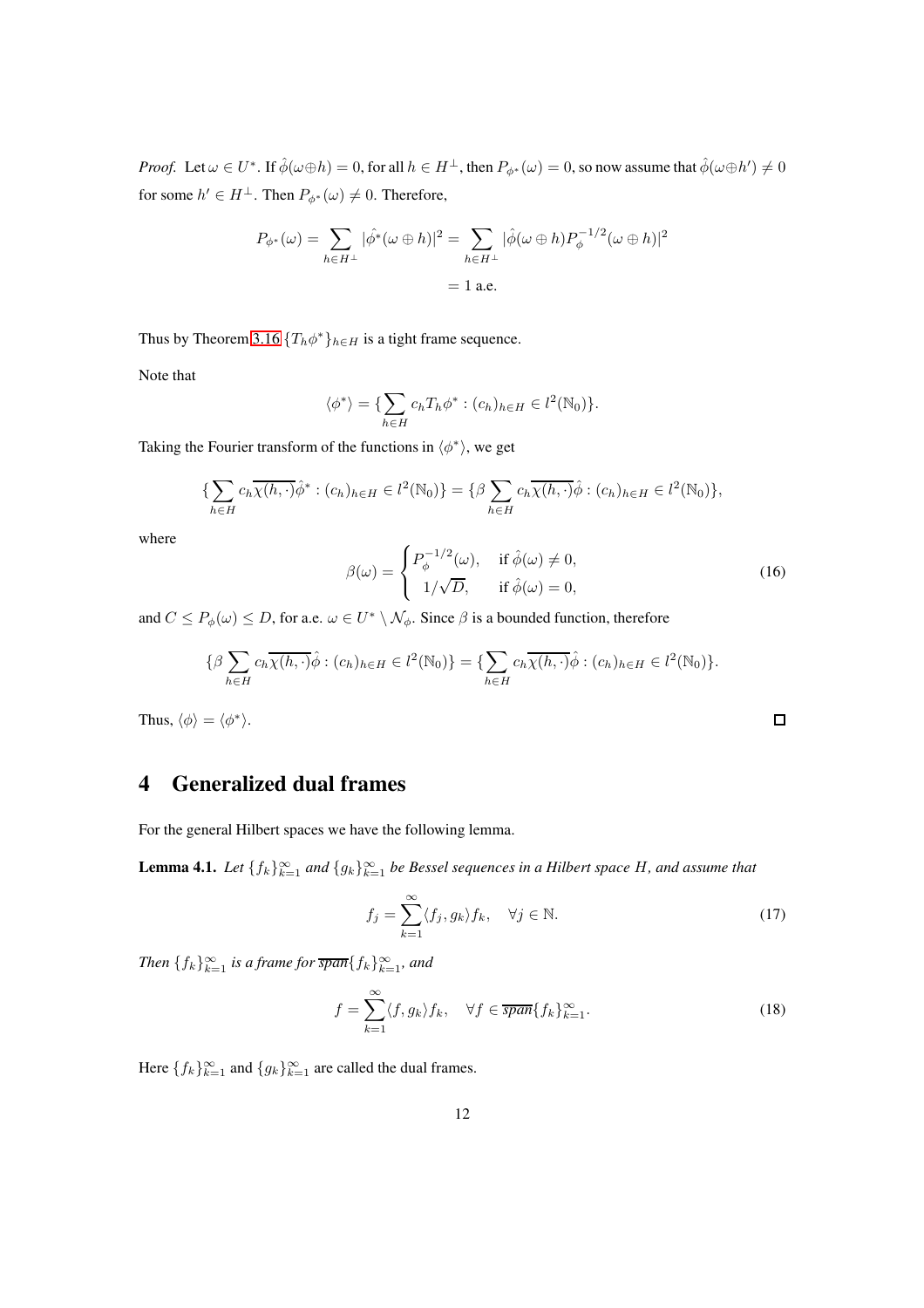*Proof.* Let  $\omega \in U^*$ . If  $\hat{\phi}(\omega \oplus h) = 0$ , for all  $h \in H^{\perp}$ , then  $P_{\phi^*}(\omega) = 0$ , so now assume that  $\hat{\phi}(\omega \oplus h') \neq 0$ for some  $h' \in H^{\perp}$ . Then  $P_{\phi^*}(\omega) \neq 0$ . Therefore,

$$
P_{\phi^*}(\omega) = \sum_{h \in H^{\perp}} |\hat{\phi^*}(\omega \oplus h)|^2 = \sum_{h \in H^{\perp}} |\hat{\phi}(\omega \oplus h) P_{\phi}^{-1/2}(\omega \oplus h)|^2
$$
  
= 1 a.e.

Thus by Theorem [3.16](#page-8-5)  $\{T_h \phi^*\}_{h \in H}$  is a tight frame sequence.

Note that

$$
\langle \phi^* \rangle = \{ \sum_{h \in H} c_h T_h \phi^* : (c_h)_{h \in H} \in l^2(\mathbb{N}_0) \}.
$$

Taking the Fourier transform of the functions in  $\langle \phi^* \rangle$ , we get

$$
\{\sum_{h\in H}c_h\overline{\chi(h,\cdot)}\hat{\phi}^*:(c_h)_{h\in H}\in l^2(\mathbb{N}_0)\}=\{\beta\sum_{h\in H}c_h\overline{\chi(h,\cdot)}\hat{\phi}:(c_h)_{h\in H}\in l^2(\mathbb{N}_0)\},\
$$

where

$$
\beta(\omega) = \begin{cases} P_{\phi}^{-1/2}(\omega), & \text{if } \hat{\phi}(\omega) \neq 0, \\ 1/\sqrt{D}, & \text{if } \hat{\phi}(\omega) = 0, \end{cases}
$$
 (16)

and  $C \le P_{\phi}(\omega) \le D$ , for a.e.  $\omega \in U^* \setminus \mathcal{N}_{\phi}$ . Since  $\beta$  is a bounded function, therefore

$$
\{\beta \sum_{h \in H} c_h \overline{\chi(h, \cdot)} \hat{\phi} : (c_h)_{h \in H} \in l^2(\mathbb{N}_0)\} = \{\sum_{h \in H} c_h \overline{\chi(h, \cdot)} \hat{\phi} : (c_h)_{h \in H} \in l^2(\mathbb{N}_0)\}.
$$

Thus,  $\langle \phi \rangle = \langle \phi^* \rangle$ .

# 4 Generalized dual frames

For the general Hilbert spaces we have the following lemma.

<span id="page-11-0"></span>**Lemma 4.1.** Let  $\{f_k\}_{k=1}^{\infty}$  and  $\{g_k\}_{k=1}^{\infty}$  be Bessel sequences in a Hilbert space H, and assume that

$$
f_j = \sum_{k=1}^{\infty} \langle f_j, g_k \rangle f_k, \quad \forall j \in \mathbb{N}.
$$
 (17)

 $\Box$ 

*Then*  ${f_k}_{k=1}^{\infty}$  *is a frame for*  $\overline{span} {f_k}_{k=1}^{\infty}$ *, and* 

$$
f = \sum_{k=1}^{\infty} \langle f, g_k \rangle f_k, \quad \forall f \in \overline{span} \{ f_k \}_{k=1}^{\infty}.
$$
 (18)

Here  $\{f_k\}_{k=1}^{\infty}$  and  $\{g_k\}_{k=1}^{\infty}$  are called the dual frames.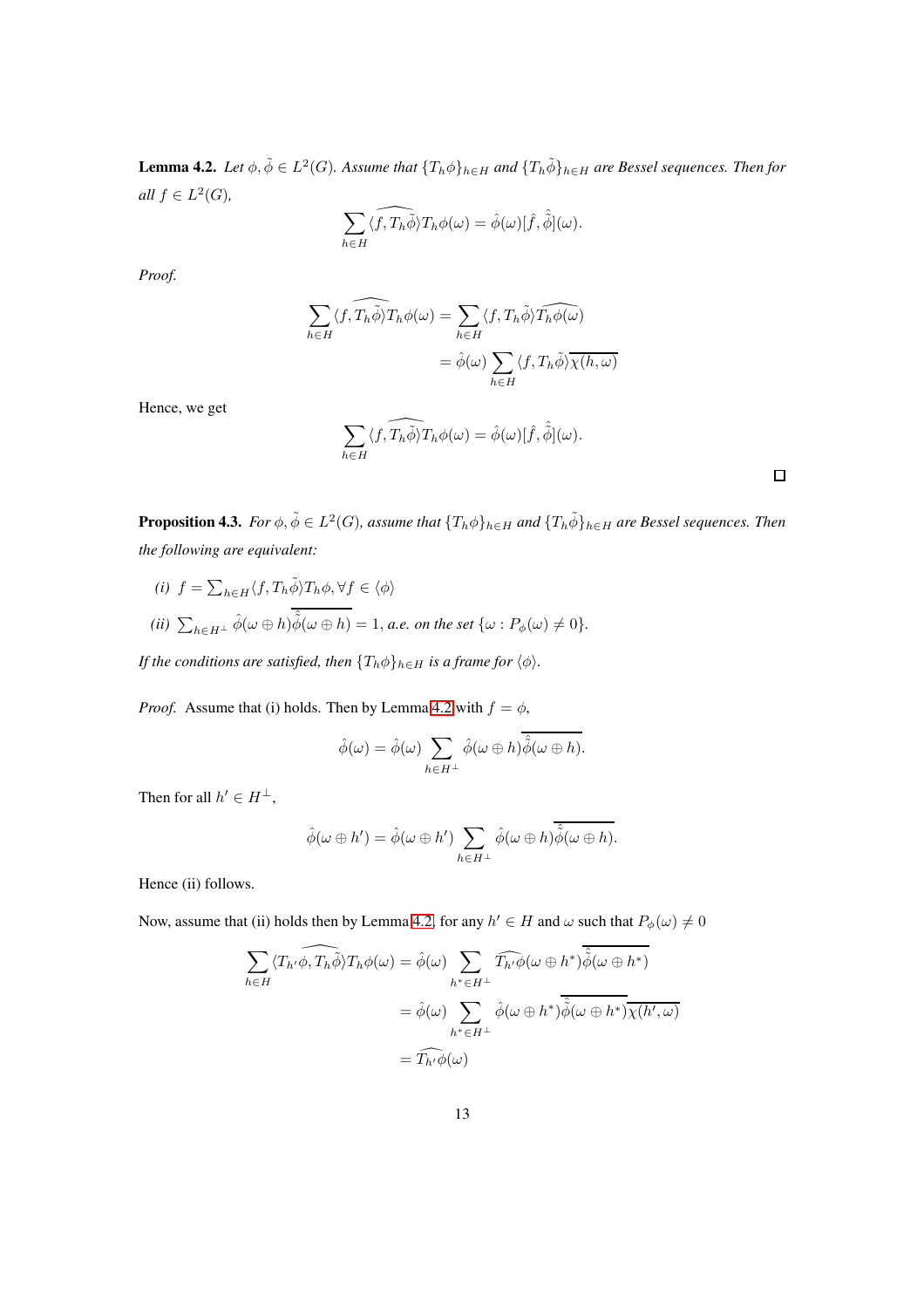<span id="page-12-0"></span>**Lemma 4.2.** *Let*  $\phi, \tilde{\phi} \in L^2(G)$ . Assume that  $\{T_h \phi\}_{h \in H}$  and  $\{T_h \tilde{\phi}\}_{h \in H}$  are Bessel sequences. Then for  $all f \in L^2(G)$ ,

$$
\sum_{h\in H} \langle \widehat{f, T_h \phi} \rangle T_h \phi(\omega) = \hat{\phi}(\omega) [\hat{f}, \hat{\phi}](\omega).
$$

*Proof.*

$$
\sum_{h \in H} \langle f, \widehat{T_h \phi} \rangle T_h \phi(\omega) = \sum_{h \in H} \langle f, T_h \tilde{\phi} \rangle \widehat{T_h \phi(\omega)}
$$

$$
= \widehat{\phi}(\omega) \sum_{h \in H} \langle f, T_h \tilde{\phi} \rangle \overline{\chi(h, \omega)}
$$

Hence, we get

$$
\sum_{h\in H} \langle f, \widehat{T_h \phi} \rangle T_h \phi(\omega) = \hat{\phi}(\omega) [\hat{f}, \hat{\phi}](\omega).
$$

 $\Box$ 

**Proposition 4.3.** *For*  $\phi$ ,  $\tilde{\phi} \in L^2(G)$ , assume that  $\{T_h \phi\}_{h \in H}$  and  $\{T_h \tilde{\phi}\}_{h \in H}$  are Bessel sequences. Then *the following are equivalent:*

(i) 
$$
f = \sum_{h \in H} \langle f, T_h \tilde{\phi} \rangle T_h \phi, \forall f \in \langle \phi \rangle
$$
  
\n(ii)  $\sum_{h \in H^{\perp}} \hat{\phi}(\omega \oplus h) \overline{\hat{\phi}(\omega \oplus h)} = 1$ , *a.e.* on the set  $\{\omega : P_{\phi}(\omega) \neq 0\}$ .

*If the conditions are satisfied, then*  ${T_h \phi}_{h \in H}$  *is a frame for*  $\langle \phi \rangle$ *.* 

*Proof.* Assume that (i) holds. Then by Lemma [4.2](#page-12-0) with  $f = \phi$ ,

$$
\hat{\phi}(\omega) = \hat{\phi}(\omega) \sum_{h \in H^{\perp}} \hat{\phi}(\omega \oplus h) \overline{\hat{\phi}(\omega \oplus h)}.
$$

Then for all  $h' \in H^{\perp}$ ,

$$
\hat{\phi}(\omega \oplus h') = \hat{\phi}(\omega \oplus h') \sum_{h \in H^{\perp}} \hat{\phi}(\omega \oplus h) \hat{\tilde{\phi}}(\omega \oplus h).
$$

Hence (ii) follows.

Now, assume that (ii) holds then by Lemma [4.2,](#page-12-0) for any  $h' \in H$  and  $\omega$  such that  $P_{\phi}(\omega) \neq 0$ 

$$
\sum_{h \in H} \langle T_{h'} \widehat{\phi}, T_h \widetilde{\phi} \rangle T_h \phi(\omega) = \widehat{\phi}(\omega) \sum_{h^* \in H^{\perp}} \widehat{T_{h'} \phi(\omega \oplus h^*) \widetilde{\phi}(\omega \oplus h^*)}
$$

$$
= \widehat{\phi}(\omega) \sum_{h^* \in H^{\perp}} \widehat{\phi}(\omega \oplus h^*) \overline{\widehat{\phi}(\omega \oplus h^*) \chi(h', \omega)}
$$

$$
= \widehat{T_{h'} \phi(\omega)}
$$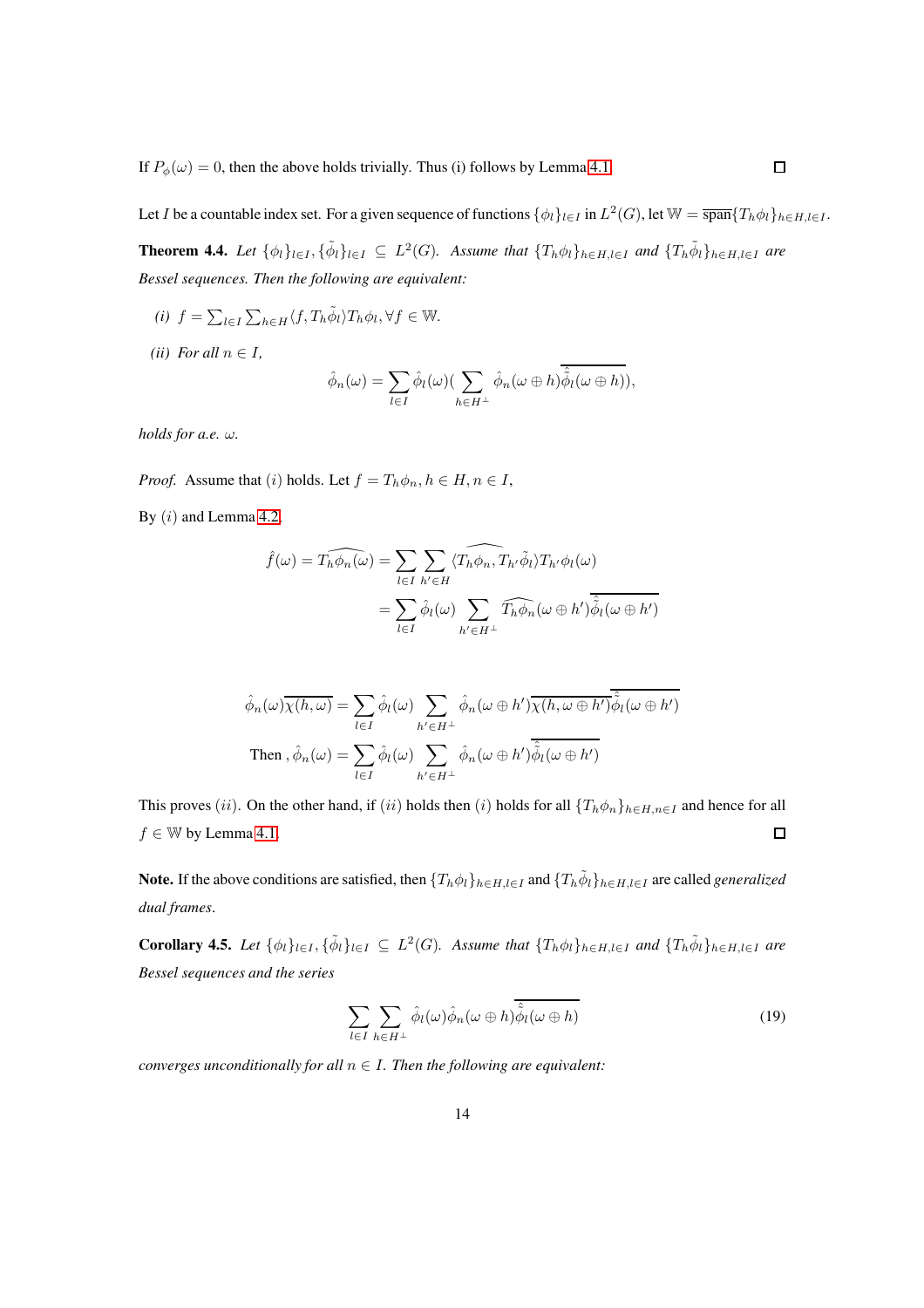If  $P_{\phi}(\omega) = 0$ , then the above holds trivially. Thus (i) follows by Lemma [4.1.](#page-11-0)

Let I be a countable index set. For a given sequence of functions  $\{\phi_l\}_{l\in I}$  in  $L^2(G)$ , let  $\mathbb{W} = \overline{\text{span}}\{T_h\phi_l\}_{h\in H, l\in I}$ .

<span id="page-13-1"></span>**Theorem 4.4.** Let  $\{\phi_l\}_{l\in I}$ ,  $\{\tilde{\phi}_l\}_{l\in I} \subseteq L^2(G)$ . Assume that  $\{T_h\phi_l\}_{h\in H, l\in I}$  and  $\{T_h\tilde{\phi}_l\}_{h\in H, l\in I}$  are *Bessel sequences. Then the following are equivalent:*

- $(i)$   $f = \sum_{l \in I} \sum_{h \in H} \langle f, T_h \tilde{\phi}_l \rangle T_h \phi_l, \forall f \in \mathbb{W}$ .
- *(ii) For all*  $n \in I$ *,*

$$
\hat{\phi}_n(\omega) = \sum_{l \in I} \hat{\phi}_l(\omega) \left( \sum_{h \in H^{\perp}} \hat{\phi}_n(\omega \oplus h) \overline{\hat{\phi}_l(\omega \oplus h)} \right),
$$

*holds for a.e.* ω*.*

*Proof.* Assume that (i) holds. Let  $f = T_h \phi_n, h \in H, n \in I$ ,

By  $(i)$  and Lemma [4.2,](#page-12-0)

$$
\hat{f}(\omega) = \widehat{T_h \phi_n(\omega)} = \sum_{l \in I} \sum_{h' \in H} \langle \widehat{T_h \phi_n}, T_{h'} \tilde{\phi}_l \rangle T_{h'} \phi_l(\omega)
$$

$$
= \sum_{l \in I} \hat{\phi}_l(\omega) \sum_{h' \in H^{\perp}} \widehat{T_h \phi_n}(\omega \oplus h') \overline{\hat{\phi}_l(\omega \oplus h')}
$$

$$
\hat{\phi}_n(\omega)\overline{\chi(h,\omega)} = \sum_{l \in I} \hat{\phi}_l(\omega) \sum_{h' \in H^{\perp}} \hat{\phi}_n(\omega \oplus h') \overline{\chi(h,\omega \oplus h')} \hat{\phi}_l(\omega \oplus h')
$$
  
Then, 
$$
\hat{\phi}_n(\omega) = \sum_{l \in I} \hat{\phi}_l(\omega) \sum_{h' \in H^{\perp}} \hat{\phi}_n(\omega \oplus h') \overline{\hat{\phi}_l(\omega \oplus h')}
$$

This proves (ii). On the other hand, if (ii) holds then (i) holds for all  $\{T_h\phi_n\}_{h\in H,n\in I}$  and hence for all  $f \in \mathbb{W}$  by Lemma [4.1.](#page-11-0)  $\Box$ 

Note. If the above conditions are satisfied, then  $\{T_h\phi_l\}_{h\in H,l\in I}$  and  $\{T_h\tilde{\phi}_l\}_{h\in H,l\in I}$  are called *generalized dual frames*.

<span id="page-13-2"></span>**Corollary 4.5.** Let  $\{\phi_l\}_{l\in I}, \{\tilde{\phi}_l\}_{l\in I} \subseteq L^2(G)$ . Assume that  $\{T_h\phi_l\}_{h\in H, l\in I}$  and  $\{T_h\tilde{\phi}_l\}_{h\in H, l\in I}$  are *Bessel sequences and the series*

<span id="page-13-0"></span>
$$
\sum_{l \in I} \sum_{h \in H^{\perp}} \hat{\phi}_l(\omega) \hat{\phi}_n(\omega \oplus h) \overline{\hat{\phi}_l(\omega \oplus h)}
$$
(19)

*converges unconditionally for all*  $n \in I$ *. Then the following are equivalent:*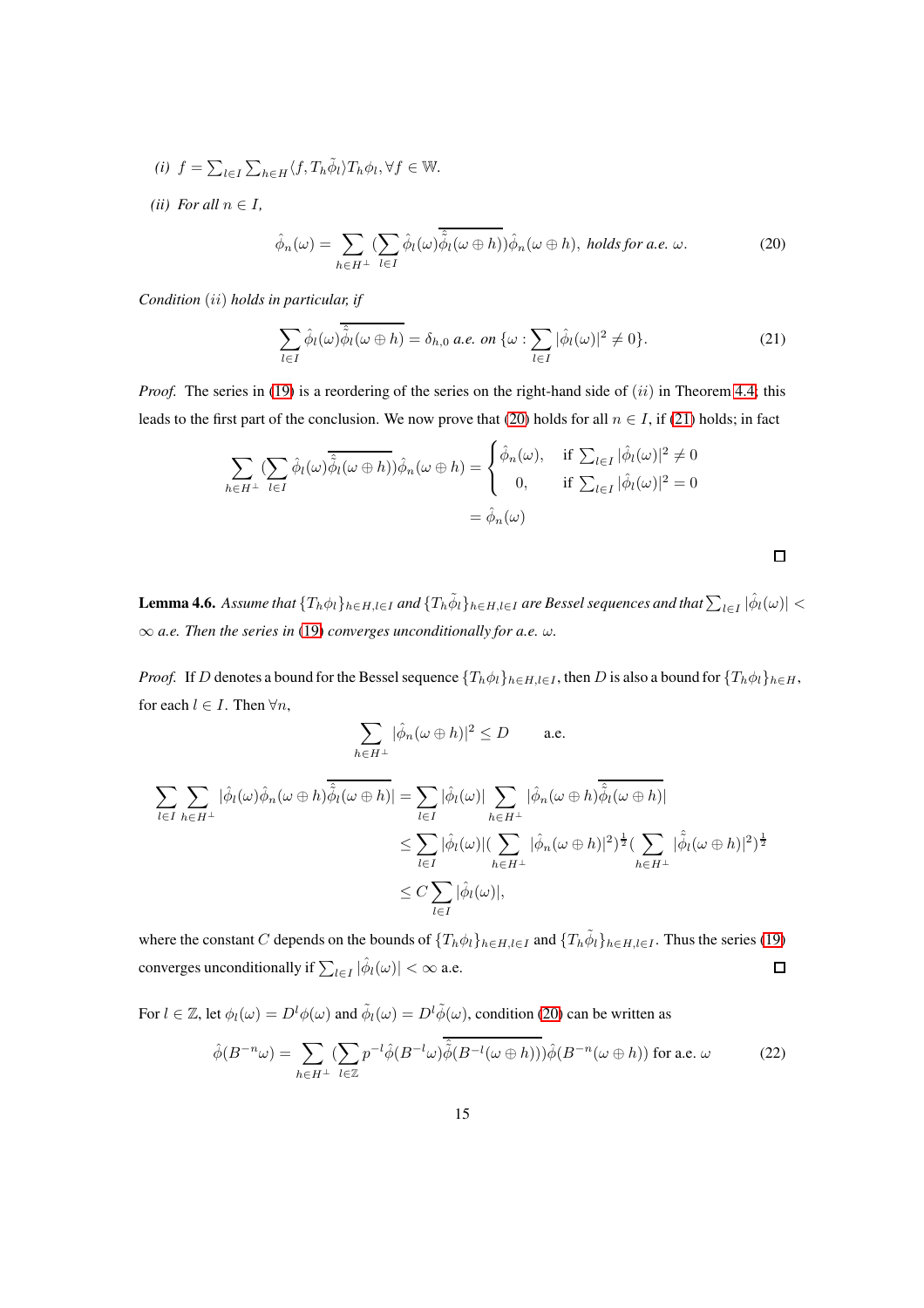- $(i)$   $f = \sum_{l \in I} \sum_{h \in H} \langle f, T_h \tilde{\phi}_l \rangle T_h \phi_l, \forall f \in \mathbb{W}$ .
- *(ii) For all*  $n \in I$ *,*

<span id="page-14-0"></span>
$$
\hat{\phi}_n(\omega) = \sum_{h \in H^{\perp}} \left( \sum_{l \in I} \hat{\phi}_l(\omega) \overline{\hat{\phi}_l(\omega \oplus h)} \right) \hat{\phi}_n(\omega \oplus h), \text{ holds for a.e. } \omega.
$$
 (20)

*Condition* (ii) *holds in particular, if*

<span id="page-14-1"></span>
$$
\sum_{l\in I} \hat{\phi}_l(\omega) \overline{\hat{\phi}_l(\omega \oplus h)} = \delta_{h,0} \text{ a.e. on } \{\omega : \sum_{l\in I} |\hat{\phi}_l(\omega)|^2 \neq 0\}. \tag{21}
$$

 $\Box$ 

*Proof.* The series in [\(19\)](#page-13-0) is a reordering of the series on the right-hand side of  $(ii)$  in Theorem [4.4;](#page-13-1) this leads to the first part of the conclusion. We now prove that [\(20\)](#page-14-0) holds for all  $n \in I$ , if [\(21\)](#page-14-1) holds; in fact

$$
\sum_{h \in H^{\perp}} (\sum_{l \in I} \hat{\phi}_l(\omega) \overline{\hat{\phi}_l(\omega \oplus h)}) \hat{\phi}_n(\omega \oplus h) = \begin{cases} \hat{\phi}_n(\omega), & \text{if } \sum_{l \in I} |\hat{\phi}_l(\omega)|^2 \neq 0 \\ 0, & \text{if } \sum_{l \in I} |\hat{\phi}_l(\omega)|^2 = 0 \end{cases}
$$

$$
= \hat{\phi}_n(\omega)
$$

Lemma 4.6. Assume that  $\{T_h\phi_l\}_{h\in H,l\in I}$  and  $\{T_h\tilde\phi_l\}_{h\in H,l\in I}$  are Bessel sequences and that  $\sum_{l\in I}|\hat\phi_l(\omega)|<\delta$ ∞ *a.e. Then the series in* [\(19\)](#page-13-0) *converges unconditionally for a.e.* ω*.*

*Proof.* If D denotes a bound for the Bessel sequence  $\{T_h\phi_l\}_{h\in H, l\in I}$ , then D is also a bound for  $\{T_h\phi_l\}_{h\in H}$ , for each  $l \in I$ . Then  $\forall n$ ,

$$
\sum_{h\in H^\perp}|\hat\phi_n(\omega\oplus h)|^2\leq D\qquad\text{ a.e.}
$$

$$
\sum_{l \in I} \sum_{h \in H^{\perp}} |\hat{\phi}_{l}(\omega)\hat{\phi}_{n}(\omega \oplus h)\overline{\hat{\phi}_{l}(\omega \oplus h)}| = \sum_{l \in I} |\hat{\phi}_{l}(\omega)| \sum_{h \in H^{\perp}} |\hat{\phi}_{n}(\omega \oplus h)\overline{\hat{\phi}_{l}(\omega \oplus h)}|
$$
  

$$
\leq \sum_{l \in I} |\hat{\phi}_{l}(\omega)| (\sum_{h \in H^{\perp}} |\hat{\phi}_{n}(\omega \oplus h)|^{2})^{\frac{1}{2}} (\sum_{h \in H^{\perp}} |\hat{\phi}_{l}(\omega \oplus h)|^{2})^{\frac{1}{2}}
$$
  

$$
\leq C \sum_{l \in I} |\hat{\phi}_{l}(\omega)|,
$$

where the constant C depends on the bounds of  $\{T_h \phi_l\}_{h \in H, l \in I}$  and  $\{T_h \tilde{\phi}_l\}_{h \in H, l \in I}$ . Thus the series [\(19\)](#page-13-0) converges unconditionally if  $\sum_{l\in I} |\hat{\phi}_l(\omega)| < \infty$  a.e.  $\Box$ 

For  $l \in \mathbb{Z}$ , let  $\phi_l(\omega) = D^l \phi(\omega)$  and  $\tilde{\phi}_l(\omega) = D^l \tilde{\phi}(\omega)$ , condition [\(20\)](#page-14-0) can be written as

<span id="page-14-2"></span>
$$
\hat{\phi}(B^{-n}\omega) = \sum_{h \in H^{\perp}} \left(\sum_{l \in \mathbb{Z}} p^{-l} \hat{\phi}(B^{-l}\omega) \hat{\tilde{\phi}}(B^{-l}(\omega \oplus h))\right) \hat{\phi}(B^{-n}(\omega \oplus h)) \text{ for a.e. } \omega \tag{22}
$$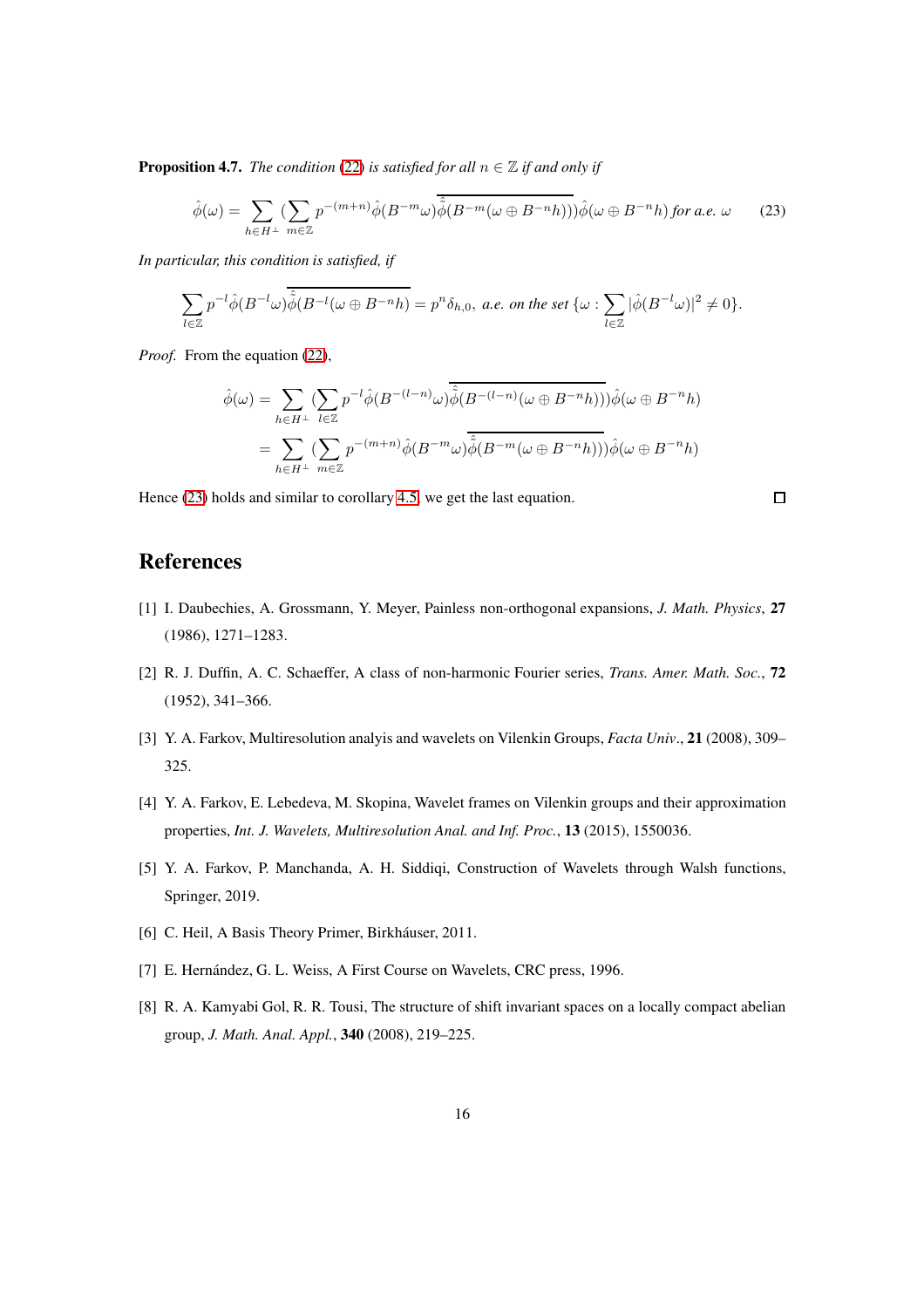**Proposition 4.7.** *The condition* [\(22\)](#page-14-2) *is satisfied for all*  $n \in \mathbb{Z}$  *if and only if* 

<span id="page-15-0"></span>
$$
\hat{\phi}(\omega) = \sum_{h \in H^{\perp}} \left( \sum_{m \in \mathbb{Z}} p^{-(m+n)} \hat{\phi}(B^{-m}\omega) \overline{\hat{\phi}}(B^{-m}(\omega \oplus B^{-n}h)) \right) \hat{\phi}(\omega \oplus B^{-n}h) \text{ for a.e. } \omega \qquad (23)
$$

*In particular, this condition is satisfied, if*

$$
\sum_{l\in\mathbb{Z}}p^{-l}\hat{\phi}(B^{-l}\omega)\hat{\tilde{\phi}}(B^{-l}(\omega\oplus B^{-n}h)=p^n\delta_{h,0},\ a.e.\ on\ the\ set\ \{\omega:\sum_{l\in\mathbb{Z}}|\hat{\phi}(B^{-l}\omega)|^2\neq 0\}.
$$

*Proof.* From the equation [\(22\)](#page-14-2),

$$
\hat{\phi}(\omega) = \sum_{h \in H^{\perp}} \left( \sum_{l \in \mathbb{Z}} p^{-l} \hat{\phi}(B^{-(l-n)}\omega) \overline{\hat{\phi}(B^{-(l-n)}(\omega \oplus B^{-n}h))} \right) \hat{\phi}(\omega \oplus B^{-n}h)
$$

$$
= \sum_{h \in H^{\perp}} \left( \sum_{m \in \mathbb{Z}} p^{-(m+n)} \hat{\phi}(B^{-m}\omega) \overline{\hat{\phi}(B^{-m}(\omega \oplus B^{-n}h))} \right) \hat{\phi}(\omega \oplus B^{-n}h)
$$

Hence [\(23\)](#page-15-0) holds and similar to corollary [4.5,](#page-13-2) we get the last equation.

#### $\Box$

## **References**

- [1] I. Daubechies, A. Grossmann, Y. Meyer, Painless non-orthogonal expansions, *J. Math. Physics*, 27 (1986), 1271–1283.
- [2] R. J. Duffin, A. C. Schaeffer, A class of non-harmonic Fourier series, *Trans. Amer. Math. Soc.*, 72 (1952), 341–366.
- [3] Y. A. Farkov, Multiresolution analyis and wavelets on Vilenkin Groups, *Facta Univ*., 21 (2008), 309– 325.
- [4] Y. A. Farkov, E. Lebedeva, M. Skopina, Wavelet frames on Vilenkin groups and their approximation properties, *Int. J. Wavelets, Multiresolution Anal. and Inf. Proc.*, 13 (2015), 1550036.
- [5] Y. A. Farkov, P. Manchanda, A. H. Siddiqi, Construction of Wavelets through Walsh functions, Springer, 2019.
- [6] C. Heil, A Basis Theory Primer, Birkháuser, 2011.
- [7] E. Hernández, G. L. Weiss, A First Course on Wavelets, CRC press, 1996.
- [8] R. A. Kamyabi Gol, R. R. Tousi, The structure of shift invariant spaces on a locally compact abelian group, *J. Math. Anal. Appl.*, 340 (2008), 219–225.